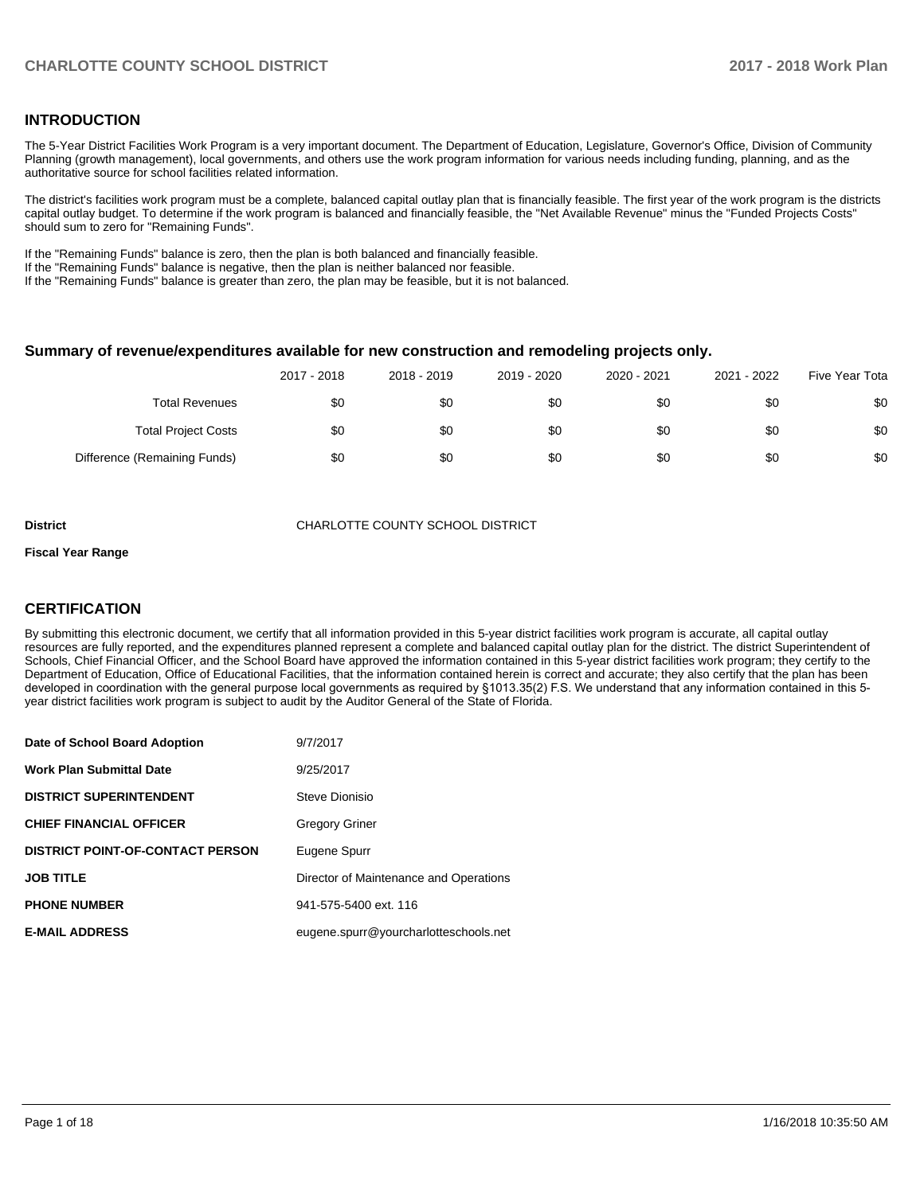## **INTRODUCTION**

The 5-Year District Facilities Work Program is a very important document. The Department of Education, Legislature, Governor's Office, Division of Community Planning (growth management), local governments, and others use the work program information for various needs including funding, planning, and as the authoritative source for school facilities related information.

The district's facilities work program must be a complete, balanced capital outlay plan that is financially feasible. The first year of the work program is the districts capital outlay budget. To determine if the work program is balanced and financially feasible, the "Net Available Revenue" minus the "Funded Projects Costs" should sum to zero for "Remaining Funds".

If the "Remaining Funds" balance is zero, then the plan is both balanced and financially feasible.

If the "Remaining Funds" balance is negative, then the plan is neither balanced nor feasible.

If the "Remaining Funds" balance is greater than zero, the plan may be feasible, but it is not balanced.

#### **Summary of revenue/expenditures available for new construction and remodeling projects only.**

|                              | 2017 - 2018 | 2018 - 2019 | 2019 - 2020 | 2020 - 2021 | 2021 - 2022 | Five Year Tota |
|------------------------------|-------------|-------------|-------------|-------------|-------------|----------------|
| <b>Total Revenues</b>        | \$0         | \$0         | \$0         | \$0         | \$0         | \$0            |
| <b>Total Project Costs</b>   | \$0         | \$0         | \$0         | \$0         | \$0         | \$0            |
| Difference (Remaining Funds) | \$0         | \$0         | \$0         | \$0         | \$0         | \$0            |

**District CHARLOTTE COUNTY SCHOOL DISTRICT** 

#### **Fiscal Year Range**

## **CERTIFICATION**

By submitting this electronic document, we certify that all information provided in this 5-year district facilities work program is accurate, all capital outlay resources are fully reported, and the expenditures planned represent a complete and balanced capital outlay plan for the district. The district Superintendent of Schools, Chief Financial Officer, and the School Board have approved the information contained in this 5-year district facilities work program; they certify to the Department of Education, Office of Educational Facilities, that the information contained herein is correct and accurate; they also certify that the plan has been developed in coordination with the general purpose local governments as required by §1013.35(2) F.S. We understand that any information contained in this 5year district facilities work program is subject to audit by the Auditor General of the State of Florida.

| Date of School Board Adoption           | 9/7/2017                               |
|-----------------------------------------|----------------------------------------|
| <b>Work Plan Submittal Date</b>         | 9/25/2017                              |
| <b>DISTRICT SUPERINTENDENT</b>          | Steve Dionisio                         |
| <b>CHIEF FINANCIAL OFFICER</b>          | <b>Gregory Griner</b>                  |
| <b>DISTRICT POINT-OF-CONTACT PERSON</b> | Eugene Spurr                           |
| <b>JOB TITLE</b>                        | Director of Maintenance and Operations |
| <b>PHONE NUMBER</b>                     | 941-575-5400 ext. 116                  |
| <b>E-MAIL ADDRESS</b>                   | eugene.spurr@yourcharlotteschools.net  |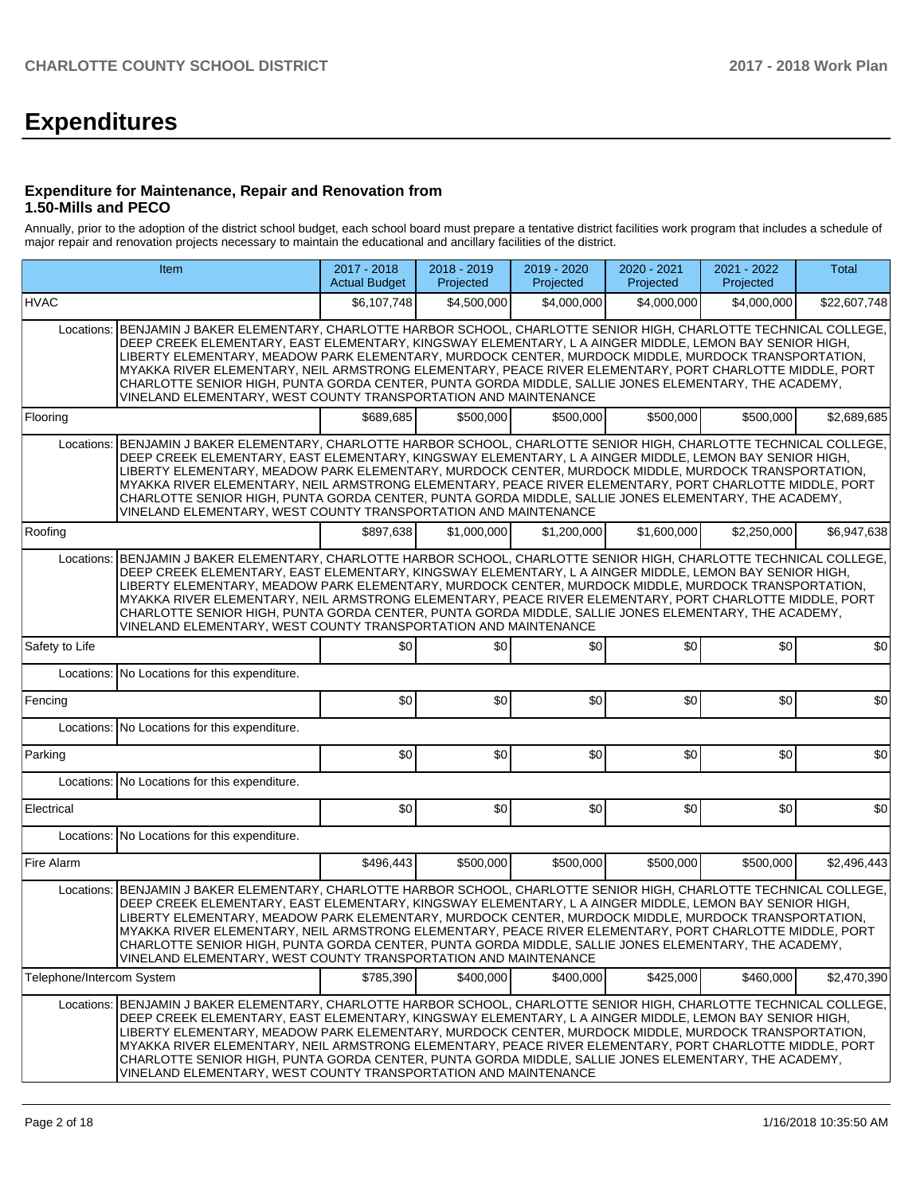# **Expenditures**

### **Expenditure for Maintenance, Repair and Renovation from 1.50-Mills and PECO**

Annually, prior to the adoption of the district school budget, each school board must prepare a tentative district facilities work program that includes a schedule of major repair and renovation projects necessary to maintain the educational and ancillary facilities of the district.

|                           | Item                                                                                                                                                                                                                                                                                                                                                                                                                                                                                                                                                                                                             | 2017 - 2018<br><b>Actual Budget</b> | 2018 - 2019<br>Projected | 2019 - 2020<br>Projected | 2020 - 2021<br>Projected | 2021 - 2022<br>Projected | Total        |
|---------------------------|------------------------------------------------------------------------------------------------------------------------------------------------------------------------------------------------------------------------------------------------------------------------------------------------------------------------------------------------------------------------------------------------------------------------------------------------------------------------------------------------------------------------------------------------------------------------------------------------------------------|-------------------------------------|--------------------------|--------------------------|--------------------------|--------------------------|--------------|
| <b>HVAC</b>               |                                                                                                                                                                                                                                                                                                                                                                                                                                                                                                                                                                                                                  | \$6,107,748                         | \$4,500,000              | \$4,000,000              | \$4,000,000              | \$4,000,000              | \$22,607,748 |
| Locations:                | BENJAMIN J BAKER ELEMENTARY, CHARLOTTE HARBOR SCHOOL, CHARLOTTE SENIOR HIGH, CHARLOTTE TECHNICAL COLLEGE,<br>DEEP CREEK ELEMENTARY, EAST ELEMENTARY, KINGSWAY ELEMENTARY, L A AINGER MIDDLE, LEMON BAY SENIOR HIGH,<br>LIBERTY ELEMENTARY, MEADOW PARK ELEMENTARY, MURDOCK CENTER, MURDOCK MIDDLE, MURDOCK TRANSPORTATION,<br>MYAKKA RIVER ELEMENTARY, NEIL ARMSTRONG ELEMENTARY, PEACE RIVER ELEMENTARY, PORT CHARLOTTE MIDDLE, PORT<br>CHARLOTTE SENIOR HIGH, PUNTA GORDA CENTER, PUNTA GORDA MIDDLE, SALLIE JONES ELEMENTARY, THE ACADEMY,<br>VINELAND ELEMENTARY, WEST COUNTY TRANSPORTATION AND MAINTENANCE |                                     |                          |                          |                          |                          |              |
| Flooring                  |                                                                                                                                                                                                                                                                                                                                                                                                                                                                                                                                                                                                                  | \$689,685                           | \$500,000                | \$500.000                | \$500,000                | \$500,000                | \$2,689,685  |
| Locations:                | BENJAMIN J BAKER ELEMENTARY, CHARLOTTE HARBOR SCHOOL, CHARLOTTE SENIOR HIGH, CHARLOTTE TECHNICAL COLLEGE,<br>DEEP CREEK ELEMENTARY, EAST ELEMENTARY, KINGSWAY ELEMENTARY, L A AINGER MIDDLE, LEMON BAY SENIOR HIGH,<br>LIBERTY ELEMENTARY, MEADOW PARK ELEMENTARY, MURDOCK CENTER, MURDOCK MIDDLE, MURDOCK TRANSPORTATION,<br>MYAKKA RIVER ELEMENTARY, NEIL ARMSTRONG ELEMENTARY, PEACE RIVER ELEMENTARY, PORT CHARLOTTE MIDDLE, PORT<br>CHARLOTTE SENIOR HIGH, PUNTA GORDA CENTER, PUNTA GORDA MIDDLE, SALLIE JONES ELEMENTARY, THE ACADEMY,<br>VINELAND ELEMENTARY, WEST COUNTY TRANSPORTATION AND MAINTENANCE |                                     |                          |                          |                          |                          |              |
| Roofing                   |                                                                                                                                                                                                                                                                                                                                                                                                                                                                                                                                                                                                                  | \$897,638                           | \$1,000,000              | \$1,200,000              | \$1,600,000              | \$2,250,000              | \$6,947,638  |
| Locations:                | BENJAMIN J BAKER ELEMENTARY, CHARLOTTE HARBOR SCHOOL, CHARLOTTE SENIOR HIGH, CHARLOTTE TECHNICAL COLLEGE,<br>DEEP CREEK ELEMENTARY, EAST ELEMENTARY, KINGSWAY ELEMENTARY, L A AINGER MIDDLE, LEMON BAY SENIOR HIGH,<br>LIBERTY ELEMENTARY, MEADOW PARK ELEMENTARY, MURDOCK CENTER, MURDOCK MIDDLE, MURDOCK TRANSPORTATION,<br>MYAKKA RIVER ELEMENTARY, NEIL ARMSTRONG ELEMENTARY, PEACE RIVER ELEMENTARY, PORT CHARLOTTE MIDDLE, PORT<br>CHARLOTTE SENIOR HIGH, PUNTA GORDA CENTER, PUNTA GORDA MIDDLE, SALLIE JONES ELEMENTARY, THE ACADEMY,<br>VINELAND ELEMENTARY, WEST COUNTY TRANSPORTATION AND MAINTENANCE |                                     |                          |                          |                          |                          |              |
| Safety to Life            |                                                                                                                                                                                                                                                                                                                                                                                                                                                                                                                                                                                                                  | \$0                                 | \$0                      | \$0                      | \$0                      | \$0                      | \$0          |
| Locations:                | No Locations for this expenditure.                                                                                                                                                                                                                                                                                                                                                                                                                                                                                                                                                                               |                                     |                          |                          |                          |                          |              |
| Fencing                   |                                                                                                                                                                                                                                                                                                                                                                                                                                                                                                                                                                                                                  | \$0                                 | \$0                      | \$0                      | \$0                      | \$0                      | \$0          |
|                           | Locations: No Locations for this expenditure.                                                                                                                                                                                                                                                                                                                                                                                                                                                                                                                                                                    |                                     |                          |                          |                          |                          |              |
| Parking                   |                                                                                                                                                                                                                                                                                                                                                                                                                                                                                                                                                                                                                  | \$0                                 | \$0                      | \$0                      | \$0                      | \$0                      | \$0          |
|                           | Locations: No Locations for this expenditure.                                                                                                                                                                                                                                                                                                                                                                                                                                                                                                                                                                    |                                     |                          |                          |                          |                          |              |
| Electrical                |                                                                                                                                                                                                                                                                                                                                                                                                                                                                                                                                                                                                                  | \$0                                 | \$0                      | \$0                      | \$0                      | \$0                      | \$0          |
| Locations:                | No Locations for this expenditure.                                                                                                                                                                                                                                                                                                                                                                                                                                                                                                                                                                               |                                     |                          |                          |                          |                          |              |
| Fire Alarm                |                                                                                                                                                                                                                                                                                                                                                                                                                                                                                                                                                                                                                  | \$496,443                           | \$500,000                | \$500,000                | \$500.000                | \$500.000                | \$2,496,443  |
| Locations:                | BENJAMIN J BAKER ELEMENTARY, CHARLOTTE HARBOR SCHOOL, CHARLOTTE SENIOR HIGH, CHARLOTTE TECHNICAL COLLEGE,<br>DEEP CREEK ELEMENTARY, EAST ELEMENTARY, KINGSWAY ELEMENTARY, L A AINGER MIDDLE, LEMON BAY SENIOR HIGH,<br>LIBERTY ELEMENTARY, MEADOW PARK ELEMENTARY, MURDOCK CENTER, MURDOCK MIDDLE, MURDOCK TRANSPORTATION,<br>MYAKKA RIVER ELEMENTARY, NEIL ARMSTRONG ELEMENTARY, PEACE RIVER ELEMENTARY, PORT CHARLOTTE MIDDLE, PORT<br>CHARLOTTE SENIOR HIGH, PUNTA GORDA CENTER, PUNTA GORDA MIDDLE, SALLIE JONES ELEMENTARY, THE ACADEMY,<br>VINELAND ELEMENTARY, WEST COUNTY TRANSPORTATION AND MAINTENANCE |                                     |                          |                          |                          |                          |              |
| Telephone/Intercom System |                                                                                                                                                                                                                                                                                                                                                                                                                                                                                                                                                                                                                  | \$785,390                           | \$400,000                | \$400,000                | \$425,000                | \$460,000                | \$2,470,390  |
| Locations:                | BENJAMIN J BAKER ELEMENTARY, CHARLOTTE HARBOR SCHOOL, CHARLOTTE SENIOR HIGH, CHARLOTTE TECHNICAL COLLEGE,<br>DEEP CREEK ELEMENTARY, EAST ELEMENTARY, KINGSWAY ELEMENTARY, L A AINGER MIDDLE, LEMON BAY SENIOR HIGH,<br>LIBERTY ELEMENTARY. MEADOW PARK ELEMENTARY. MURDOCK CENTER. MURDOCK MIDDLE. MURDOCK TRANSPORTATION.<br>MYAKKA RIVER ELEMENTARY, NEIL ARMSTRONG ELEMENTARY, PEACE RIVER ELEMENTARY, PORT CHARLOTTE MIDDLE, PORT<br>CHARLOTTE SENIOR HIGH, PUNTA GORDA CENTER, PUNTA GORDA MIDDLE, SALLIE JONES ELEMENTARY, THE ACADEMY,<br>VINELAND ELEMENTARY, WEST COUNTY TRANSPORTATION AND MAINTENANCE |                                     |                          |                          |                          |                          |              |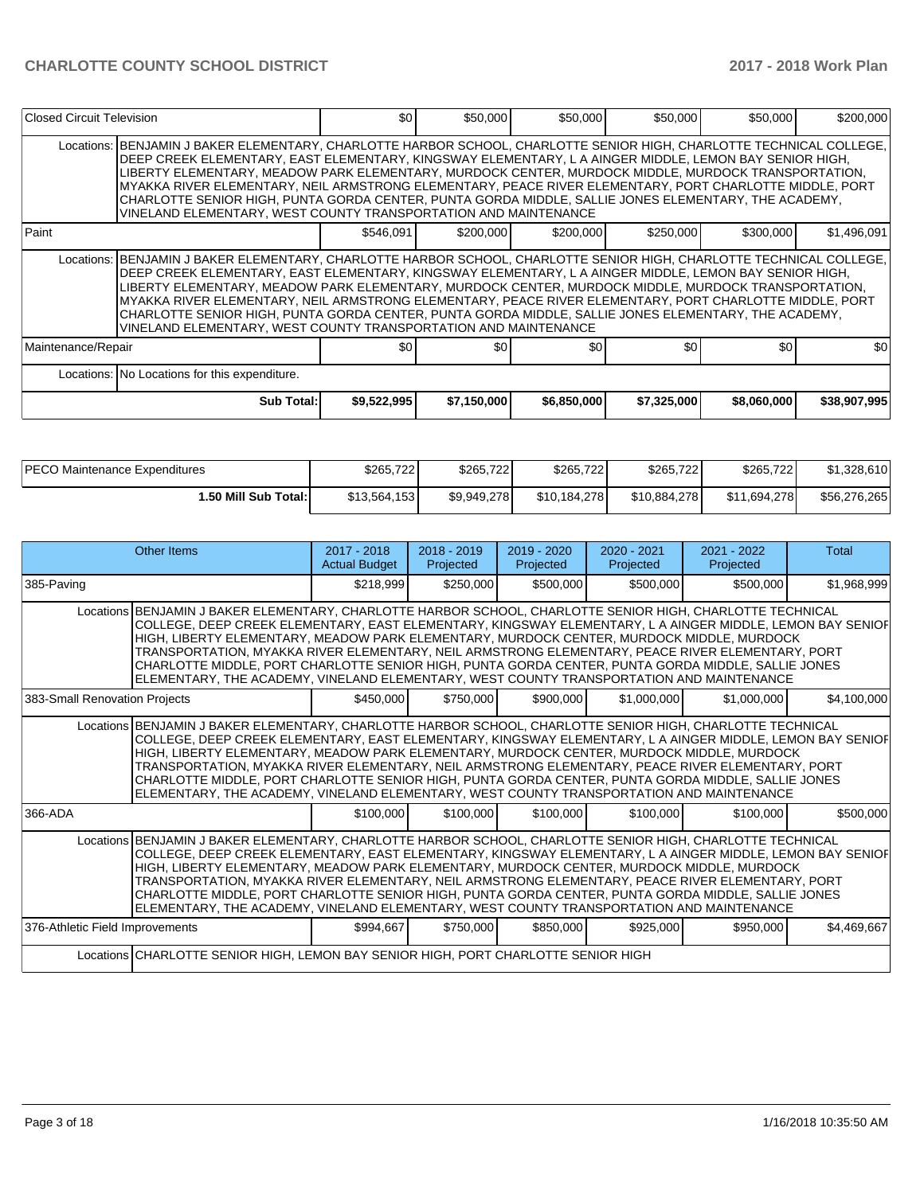| Closed Circuit Television |                                                                                                                                                                                                                                                                                                                                                                                                                                                                                                                                                                                                                               | \$0         | \$50,000    | \$50,000    | \$50,000    | \$50,000    | \$200,000    |
|---------------------------|-------------------------------------------------------------------------------------------------------------------------------------------------------------------------------------------------------------------------------------------------------------------------------------------------------------------------------------------------------------------------------------------------------------------------------------------------------------------------------------------------------------------------------------------------------------------------------------------------------------------------------|-------------|-------------|-------------|-------------|-------------|--------------|
|                           | Locations: BENJAMIN J BAKER ELEMENTARY, CHARLOTTE HARBOR SCHOOL, CHARLOTTE SENIOR HIGH, CHARLOTTE TECHNICAL COLLEGE,<br>DEEP CREEK ELEMENTARY, EAST ELEMENTARY, KINGSWAY ELEMENTARY, L A AINGER MIDDLE, LEMON BAY SENIOR HIGH,<br>LIBERTY ELEMENTARY, MEADOW PARK ELEMENTARY, MURDOCK CENTER, MURDOCK MIDDLE, MURDOCK TRANSPORTATION,<br>MYAKKA RIVER ELEMENTARY, NEIL ARMSTRONG ELEMENTARY, PEACE RIVER ELEMENTARY, PORT CHARLOTTE MIDDLE, PORT<br>CHARLOTTE SENIOR HIGH, PUNTA GORDA CENTER, PUNTA GORDA MIDDLE, SALLIE JONES ELEMENTARY, THE ACADEMY,<br>VINELAND ELEMENTARY, WEST COUNTY TRANSPORTATION AND MAINTENANCE   |             |             |             |             |             |              |
| Paint                     |                                                                                                                                                                                                                                                                                                                                                                                                                                                                                                                                                                                                                               | \$546,091   | \$200,000   | \$200,000   | \$250,000   | \$300,000   | \$1,496,091  |
|                           | Locations:   BENJAMIN J BAKER ELEMENTARY, CHARLOTTE HARBOR SCHOOL, CHARLOTTE SENIOR HIGH, CHARLOTTE TECHNICAL COLLEGE,<br>DEEP CREEK ELEMENTARY, EAST ELEMENTARY, KINGSWAY ELEMENTARY, L A AINGER MIDDLE, LEMON BAY SENIOR HIGH,<br>LIBERTY ELEMENTARY, MEADOW PARK ELEMENTARY, MURDOCK CENTER, MURDOCK MIDDLE, MURDOCK TRANSPORTATION,<br>MYAKKA RIVER ELEMENTARY, NEIL ARMSTRONG ELEMENTARY, PEACE RIVER ELEMENTARY, PORT CHARLOTTE MIDDLE, PORT<br>CHARLOTTE SENIOR HIGH, PUNTA GORDA CENTER, PUNTA GORDA MIDDLE, SALLIE JONES ELEMENTARY, THE ACADEMY,<br>VINELAND ELEMENTARY, WEST COUNTY TRANSPORTATION AND MAINTENANCE |             |             |             |             |             |              |
| Maintenance/Repair        |                                                                                                                                                                                                                                                                                                                                                                                                                                                                                                                                                                                                                               | \$0.        | \$0         | \$0         | \$0         | \$0         | \$0          |
|                           | Locations: No Locations for this expenditure.                                                                                                                                                                                                                                                                                                                                                                                                                                                                                                                                                                                 |             |             |             |             |             |              |
|                           | <b>Sub Total:</b>                                                                                                                                                                                                                                                                                                                                                                                                                                                                                                                                                                                                             | \$9,522,995 | \$7,150,000 | \$6,850,000 | \$7,325,000 | \$8,060,000 | \$38,907,995 |

| <b>IPECO Maintenance Expenditures</b> | \$265,722    | \$265,722   | \$265,722    | \$265,722    | \$265,722    | \$1,328,610  |
|---------------------------------------|--------------|-------------|--------------|--------------|--------------|--------------|
| 1.50 Mill Sub Total:                  | \$13,564,153 | \$9,949,278 | \$10.184.278 | \$10.884.278 | \$11.694.278 | \$56,276,265 |

|                                 | Other Items                                                                                                                                                                                                                                                                                                                                                                                                                                                                                                                                                                                                                | $2017 - 2018$<br><b>Actual Budget</b> | $2018 - 2019$<br>Projected | $2019 - 2020$<br>Projected | $2020 - 2021$<br>Projected | $2021 - 2022$<br>Projected | Total       |
|---------------------------------|----------------------------------------------------------------------------------------------------------------------------------------------------------------------------------------------------------------------------------------------------------------------------------------------------------------------------------------------------------------------------------------------------------------------------------------------------------------------------------------------------------------------------------------------------------------------------------------------------------------------------|---------------------------------------|----------------------------|----------------------------|----------------------------|----------------------------|-------------|
| 385-Paving                      |                                                                                                                                                                                                                                                                                                                                                                                                                                                                                                                                                                                                                            | \$218,999                             | \$250,000                  | \$500,000                  | \$500,000                  | \$500,000                  | \$1,968,999 |
|                                 | Locations BENJAMIN J BAKER ELEMENTARY, CHARLOTTE HARBOR SCHOOL, CHARLOTTE SENIOR HIGH, CHARLOTTE TECHNICAL<br>COLLEGE, DEEP CREEK ELEMENTARY, EAST ELEMENTARY, KINGSWAY ELEMENTARY, L A AINGER MIDDLE, LEMON BAY SENIOF<br>HIGH, LIBERTY ELEMENTARY, MEADOW PARK ELEMENTARY, MURDOCK CENTER, MURDOCK MIDDLE, MURDOCK<br>TRANSPORTATION, MYAKKA RIVER ELEMENTARY, NEIL ARMSTRONG ELEMENTARY, PEACE RIVER ELEMENTARY, PORT<br>CHARLOTTE MIDDLE, PORT CHARLOTTE SENIOR HIGH, PUNTA GORDA CENTER, PUNTA GORDA MIDDLE, SALLIE JONES<br>ELEMENTARY, THE ACADEMY, VINELAND ELEMENTARY, WEST COUNTY TRANSPORTATION AND MAINTENANCE |                                       |                            |                            |                            |                            |             |
| 383-Small Renovation Projects   |                                                                                                                                                                                                                                                                                                                                                                                                                                                                                                                                                                                                                            | \$450,000                             | \$750,000                  | \$900,000                  | \$1,000,000                | \$1,000,000                | \$4,100,000 |
|                                 | Locations BENJAMIN J BAKER ELEMENTARY, CHARLOTTE HARBOR SCHOOL, CHARLOTTE SENIOR HIGH, CHARLOTTE TECHNICAL<br>COLLEGE, DEEP CREEK ELEMENTARY, EAST ELEMENTARY, KINGSWAY ELEMENTARY, L A AINGER MIDDLE, LEMON BAY SENIOF<br>HIGH, LIBERTY ELEMENTARY, MEADOW PARK ELEMENTARY, MURDOCK CENTER, MURDOCK MIDDLE, MURDOCK<br>TRANSPORTATION, MYAKKA RIVER ELEMENTARY, NEIL ARMSTRONG ELEMENTARY, PEACE RIVER ELEMENTARY, PORT<br>CHARLOTTE MIDDLE, PORT CHARLOTTE SENIOR HIGH, PUNTA GORDA CENTER, PUNTA GORDA MIDDLE, SALLIE JONES<br>ELEMENTARY. THE ACADEMY. VINELAND ELEMENTARY. WEST COUNTY TRANSPORTATION AND MAINTENANCE |                                       |                            |                            |                            |                            |             |
| 366-ADA                         |                                                                                                                                                                                                                                                                                                                                                                                                                                                                                                                                                                                                                            | \$100,000                             | \$100,000                  | \$100,000                  | \$100,000                  | \$100,000                  | \$500,000   |
|                                 | Locations BENJAMIN J BAKER ELEMENTARY, CHARLOTTE HARBOR SCHOOL, CHARLOTTE SENIOR HIGH, CHARLOTTE TECHNICAL<br>COLLEGE, DEEP CREEK ELEMENTARY, EAST ELEMENTARY, KINGSWAY ELEMENTARY, L A AINGER MIDDLE, LEMON BAY SENIOF<br>HIGH, LIBERTY ELEMENTARY, MEADOW PARK ELEMENTARY, MURDOCK CENTER, MURDOCK MIDDLE, MURDOCK<br>TRANSPORTATION, MYAKKA RIVER ELEMENTARY, NEIL ARMSTRONG ELEMENTARY, PEACE RIVER ELEMENTARY, PORT<br>CHARLOTTE MIDDLE, PORT CHARLOTTE SENIOR HIGH, PUNTA GORDA CENTER, PUNTA GORDA MIDDLE, SALLIE JONES<br>ELEMENTARY, THE ACADEMY, VINELAND ELEMENTARY, WEST COUNTY TRANSPORTATION AND MAINTENANCE |                                       |                            |                            |                            |                            |             |
| 376-Athletic Field Improvements |                                                                                                                                                                                                                                                                                                                                                                                                                                                                                                                                                                                                                            | \$994,667                             | \$750,000                  | \$850,000                  | \$925,000                  | \$950,000                  | \$4,469,667 |
|                                 | Locations CHARLOTTE SENIOR HIGH, LEMON BAY SENIOR HIGH, PORT CHARLOTTE SENIOR HIGH                                                                                                                                                                                                                                                                                                                                                                                                                                                                                                                                         |                                       |                            |                            |                            |                            |             |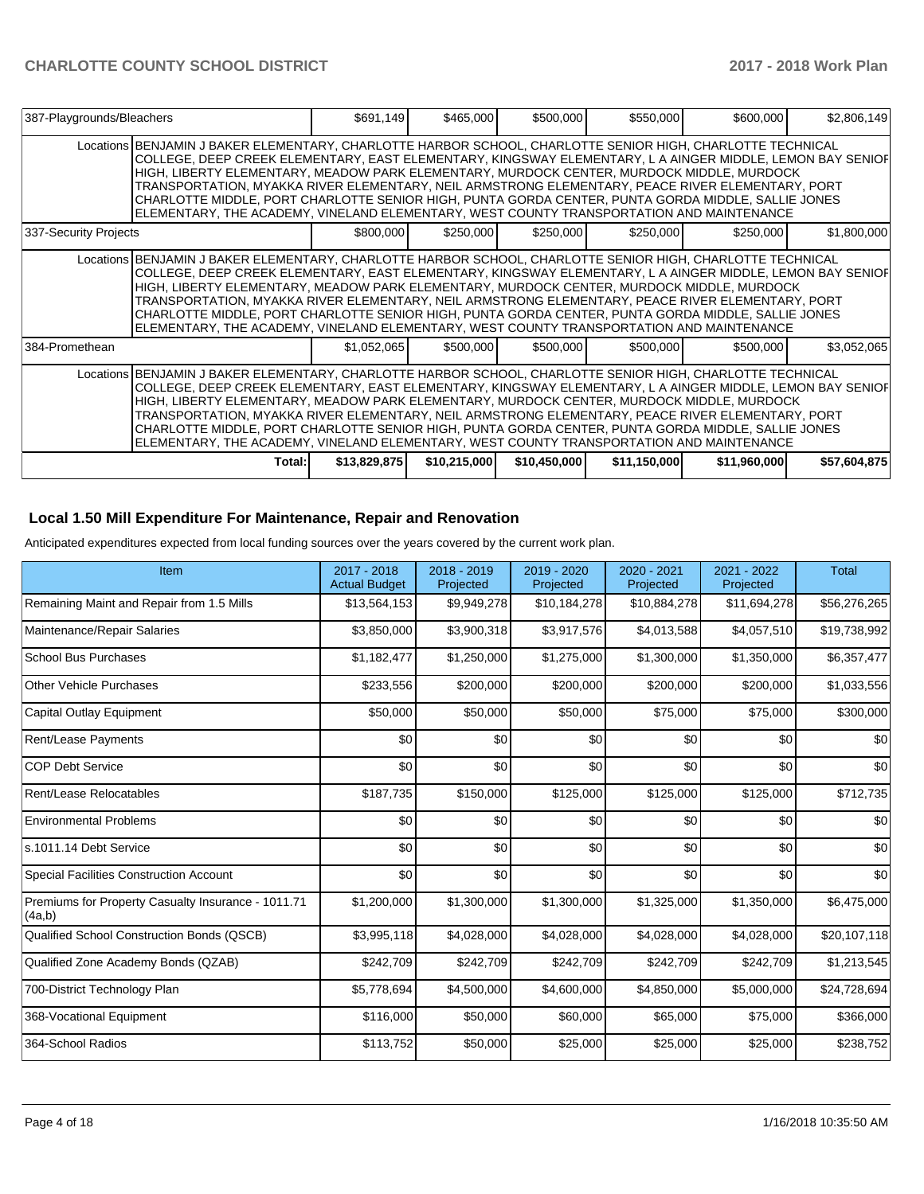| 387-Playgrounds/Bleachers |                                                                                                                                                                                                                                                                                                                                                                                                                                                                                                                                                                                                                              | \$691,149    | \$465,000    | \$500,000    | \$550,000    | \$600,000    | \$2,806,149  |
|---------------------------|------------------------------------------------------------------------------------------------------------------------------------------------------------------------------------------------------------------------------------------------------------------------------------------------------------------------------------------------------------------------------------------------------------------------------------------------------------------------------------------------------------------------------------------------------------------------------------------------------------------------------|--------------|--------------|--------------|--------------|--------------|--------------|
|                           | Locations BENJAMIN J BAKER ELEMENTARY, CHARLOTTE HARBOR SCHOOL, CHARLOTTE SENIOR HIGH, CHARLOTTE TECHNICAL<br>COLLEGE, DEEP CREEK ELEMENTARY, EAST ELEMENTARY, KINGSWAY ELEMENTARY, L A AINGER MIDDLE, LEMON BAY SENIOF<br>HIGH, LIBERTY ELEMENTARY, MEADOW PARK ELEMENTARY, MURDOCK CENTER, MURDOCK MIDDLE, MURDOCK<br>TRANSPORTATION, MYAKKA RIVER ELEMENTARY, NEIL ARMSTRONG ELEMENTARY, PEACE RIVER ELEMENTARY, PORT<br>CHARLOTTE MIDDLE, PORT CHARLOTTE SENIOR HIGH, PUNTA GORDA CENTER, PUNTA GORDA MIDDLE, SALLIE JONES<br>ELEMENTARY, THE ACADEMY, VINELAND ELEMENTARY, WEST COUNTY TRANSPORTATION AND MAINTENANCE   |              |              |              |              |              |              |
| 337-Security Projects     |                                                                                                                                                                                                                                                                                                                                                                                                                                                                                                                                                                                                                              | \$800,000    | \$250,000    | \$250,000    | \$250,000    | \$250,000    | \$1,800,000  |
|                           | Locations BENJAMIN J BAKER ELEMENTARY, CHARLOTTE HARBOR SCHOOL, CHARLOTTE SENIOR HIGH, CHARLOTTE TECHNICAL<br>COLLEGE, DEEP CREEK ELEMENTARY, EAST ELEMENTARY, KINGSWAY ELEMENTARY, L A AINGER MIDDLE, LEMON BAY SENIOF<br>HIGH, LIBERTY ELEMENTARY, MEADOW PARK ELEMENTARY, MURDOCK CENTER, MURDOCK MIDDLE, MURDOCK<br>TRANSPORTATION, MYAKKA RIVER ELEMENTARY, NEIL ARMSTRONG ELEMENTARY, PEACE RIVER ELEMENTARY, PORT<br>CHARLOTTE MIDDLE, PORT CHARLOTTE SENIOR HIGH, PUNTA GORDA CENTER, PUNTA GORDA MIDDLE, SALLIE JONES<br>ELEMENTARY, THE ACADEMY, VINELAND ELEMENTARY, WEST COUNTY TRANSPORTATION AND MAINTENANCE   |              |              |              |              |              |              |
| 384-Promethean            |                                                                                                                                                                                                                                                                                                                                                                                                                                                                                                                                                                                                                              | \$1,052,065  | \$500,000    | \$500,000    | \$500,000    | \$500,000    | \$3,052,065  |
|                           | Locations BENJAMIN J BAKER ELEMENTARY, CHARLOTTE HARBOR SCHOOL, CHARLOTTE SENIOR HIGH, CHARLOTTE TECHNICAL<br> COLLEGE, DEEP CREEK ELEMENTARY, EAST ELEMENTARY, KINGSWAY ELEMENTARY, L A AINGER MIDDLE, LEMON BAY SENIOF <br>HIGH, LIBERTY ELEMENTARY, MEADOW PARK ELEMENTARY, MURDOCK CENTER, MURDOCK MIDDLE, MURDOCK<br>TRANSPORTATION, MYAKKA RIVER ELEMENTARY, NEIL ARMSTRONG ELEMENTARY, PEACE RIVER ELEMENTARY, PORT<br>CHARLOTTE MIDDLE, PORT CHARLOTTE SENIOR HIGH, PUNTA GORDA CENTER, PUNTA GORDA MIDDLE, SALLIE JONES<br>ELEMENTARY, THE ACADEMY, VINELAND ELEMENTARY, WEST COUNTY TRANSPORTATION AND MAINTENANCE |              |              |              |              |              |              |
|                           | Total:                                                                                                                                                                                                                                                                                                                                                                                                                                                                                                                                                                                                                       | \$13,829,875 | \$10,215,000 | \$10,450,000 | \$11,150,000 | \$11,960,000 | \$57,604,875 |

## **Local 1.50 Mill Expenditure For Maintenance, Repair and Renovation**

Anticipated expenditures expected from local funding sources over the years covered by the current work plan.

| Item                                                         | 2017 - 2018<br><b>Actual Budget</b> | 2018 - 2019<br>Projected | 2019 - 2020<br>Projected | 2020 - 2021<br>Projected | 2021 - 2022<br>Projected | <b>Total</b> |
|--------------------------------------------------------------|-------------------------------------|--------------------------|--------------------------|--------------------------|--------------------------|--------------|
| Remaining Maint and Repair from 1.5 Mills                    | \$13,564,153                        | \$9,949,278              | \$10,184,278             | \$10,884,278             | \$11,694,278             | \$56,276,265 |
| Maintenance/Repair Salaries                                  | \$3,850,000                         | \$3,900,318              | \$3,917,576              | \$4,013,588              | \$4,057,510              | \$19,738,992 |
| <b>School Bus Purchases</b>                                  | \$1,182,477                         | \$1,250,000              | \$1,275,000              | \$1,300,000              | \$1,350,000              | \$6,357,477  |
| <b>Other Vehicle Purchases</b>                               | \$233,556                           | \$200,000                | \$200,000                | \$200,000                | \$200,000                | \$1,033,556  |
| <b>Capital Outlay Equipment</b>                              | \$50,000                            | \$50,000                 | \$50,000                 | \$75,000                 | \$75,000                 | \$300,000    |
| <b>Rent/Lease Payments</b>                                   | \$0                                 | \$0                      | \$0                      | \$0                      | \$0                      | \$0          |
| <b>COP Debt Service</b>                                      | \$0                                 | \$0                      | \$0                      | \$0                      | \$0                      | \$0          |
| Rent/Lease Relocatables                                      | \$187,735                           | \$150,000                | \$125,000                | \$125,000                | \$125,000                | \$712,735    |
| <b>Environmental Problems</b>                                | \$0                                 | \$0                      | \$0                      | \$0                      | \$0                      | \$0          |
| s.1011.14 Debt Service                                       | \$0                                 | \$0                      | \$0                      | \$0                      | \$0                      | \$0          |
| Special Facilities Construction Account                      | \$0                                 | \$0                      | \$0                      | \$0                      | \$0                      | \$0          |
| Premiums for Property Casualty Insurance - 1011.71<br>(4a,b) | \$1,200,000                         | \$1,300,000              | \$1,300,000              | \$1,325,000              | \$1,350,000              | \$6,475,000  |
| Qualified School Construction Bonds (QSCB)                   | \$3,995,118                         | \$4,028,000              | \$4,028,000              | \$4,028,000              | \$4,028,000              | \$20,107,118 |
| Qualified Zone Academy Bonds (QZAB)                          | \$242,709                           | \$242,709                | \$242,709                | \$242,709                | \$242,709                | \$1,213,545  |
| 700-District Technology Plan                                 | \$5,778,694                         | \$4,500,000              | \$4,600,000              | \$4,850,000              | \$5,000,000              | \$24,728,694 |
| 368-Vocational Equipment                                     | \$116,000                           | \$50,000                 | \$60,000                 | \$65,000                 | \$75,000                 | \$366,000    |
| 364-School Radios                                            | \$113,752                           | \$50,000                 | \$25,000                 | \$25,000                 | \$25,000                 | \$238,752    |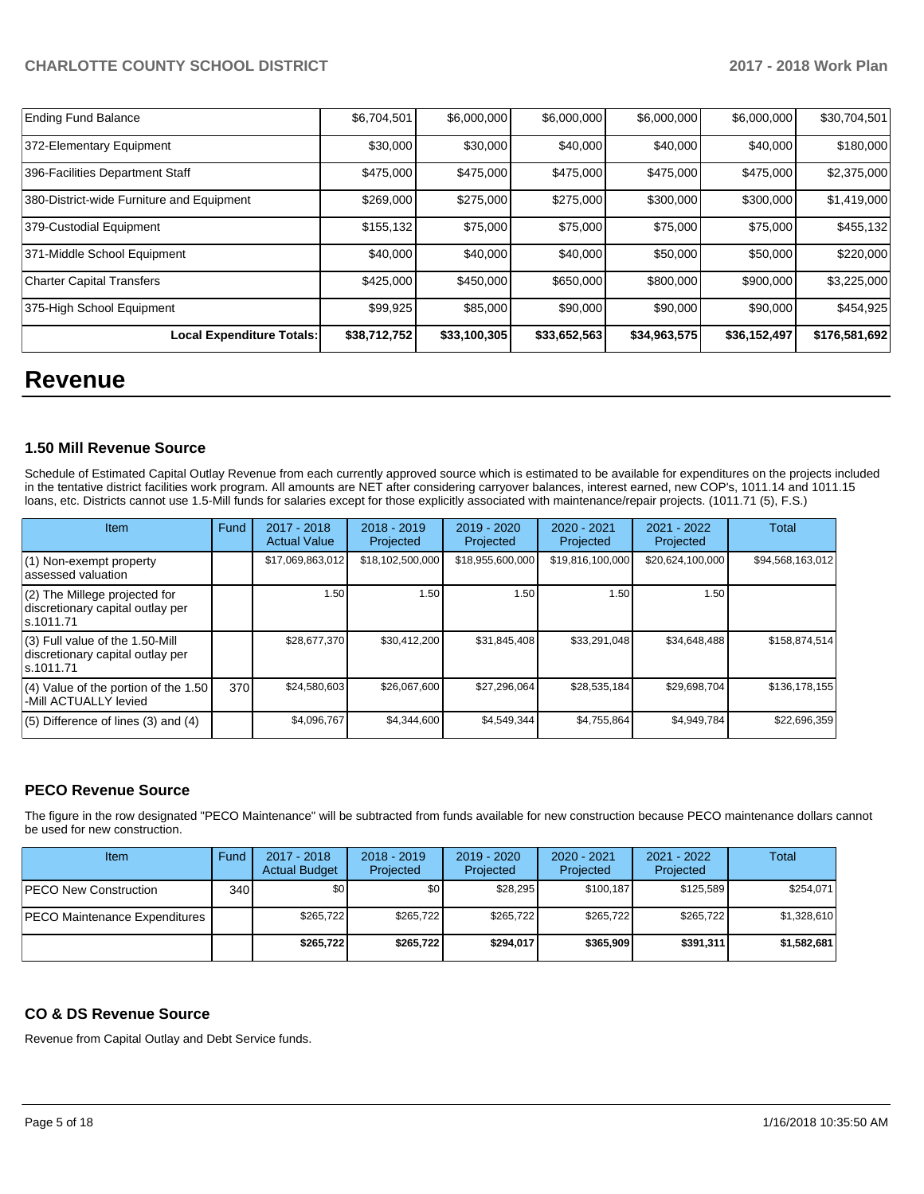| <b>Ending Fund Balance</b>                | \$6,704,501  | \$6,000,000  | \$6,000,000  | \$6,000,000  | \$6,000,000  | \$30,704,501  |
|-------------------------------------------|--------------|--------------|--------------|--------------|--------------|---------------|
| 372-Elementary Equipment                  | \$30,000     | \$30,000     | \$40,000     | \$40,000     | \$40,000     | \$180,000     |
| 396-Facilities Department Staff           | \$475,000    | \$475,000    | \$475,000    | \$475,000    | \$475,000    | \$2,375,000   |
| 380-District-wide Furniture and Equipment | \$269,000    | \$275,000    | \$275,000    | \$300,000    | \$300,000    | \$1,419,000   |
| 379-Custodial Equipment                   | \$155,132    | \$75,000     | \$75,000     | \$75,000     | \$75,000     | \$455,132     |
| 371-Middle School Equipment               | \$40,000     | \$40,000     | \$40,000     | \$50,000     | \$50,000     | \$220,000     |
| <b>Charter Capital Transfers</b>          | \$425,000    | \$450,000    | \$650,000    | \$800,000    | \$900,000    | \$3,225,000   |
| 375-High School Equipment                 | \$99,925     | \$85,000     | \$90,000     | \$90,000     | \$90,000     | \$454,925     |
| Local Expenditure Totals:                 | \$38,712,752 | \$33,100,305 | \$33,652,563 | \$34,963,575 | \$36,152,497 | \$176,581,692 |

# **Revenue**

## **1.50 Mill Revenue Source**

Schedule of Estimated Capital Outlay Revenue from each currently approved source which is estimated to be available for expenditures on the projects included in the tentative district facilities work program. All amounts are NET after considering carryover balances, interest earned, new COP's, 1011.14 and 1011.15 loans, etc. Districts cannot use 1.5-Mill funds for salaries except for those explicitly associated with maintenance/repair projects. (1011.71 (5), F.S.)

| Item                                                                                | Fund | $2017 - 2018$<br><b>Actual Value</b> | $2018 - 2019$<br>Projected | 2019 - 2020<br>Projected | $2020 - 2021$<br>Projected | 2021 - 2022<br>Projected | <b>Total</b>     |
|-------------------------------------------------------------------------------------|------|--------------------------------------|----------------------------|--------------------------|----------------------------|--------------------------|------------------|
| (1) Non-exempt property<br>lassessed valuation                                      |      | \$17,069,863,012                     | \$18,102,500,000           | \$18,955,600,000         | \$19,816,100,000           | \$20,624,100,000         | \$94,568,163,012 |
| (2) The Millege projected for<br>discretionary capital outlay per<br>ls.1011.71     |      | 1.50                                 | 1.50                       | 1.50                     | 1.50                       | 1.50                     |                  |
| $(3)$ Full value of the 1.50-Mill<br>discretionary capital outlay per<br>ls.1011.71 |      | \$28,677,370                         | \$30,412,200               | \$31,845,408             | \$33,291,048               | \$34,648,488             | \$158,874,514    |
| $(4)$ Value of the portion of the 1.50<br>-Mill ACTUALLY levied                     | 370  | \$24,580,603                         | \$26,067,600               | \$27,296,064             | \$28,535,184               | \$29,698,704             | \$136,178,155    |
| $(5)$ Difference of lines $(3)$ and $(4)$                                           |      | \$4,096,767                          | \$4,344,600                | \$4,549,344              | \$4,755,864                | \$4,949,784              | \$22,696,359     |

## **PECO Revenue Source**

The figure in the row designated "PECO Maintenance" will be subtracted from funds available for new construction because PECO maintenance dollars cannot be used for new construction.

| Item                                 | Fund | 2017 - 2018<br><b>Actual Budget</b> | $2018 - 2019$<br>Projected | 2019 - 2020<br>Projected | $2020 - 2021$<br>Projected | 2021 - 2022<br>Projected | Total       |
|--------------------------------------|------|-------------------------------------|----------------------------|--------------------------|----------------------------|--------------------------|-------------|
| <b>IPECO New Construction</b>        | 340  | \$0                                 | \$0                        | \$28.295                 | \$100.187                  | \$125.589                | \$254,071   |
| <b>PECO Maintenance Expenditures</b> |      | \$265.722                           | \$265,722                  | \$265.722                | \$265.722                  | \$265.722                | \$1,328,610 |
|                                      |      | \$265.722                           | \$265,722                  | \$294.017                | \$365,909                  | \$391.311                | \$1,582,681 |

## **CO & DS Revenue Source**

Revenue from Capital Outlay and Debt Service funds.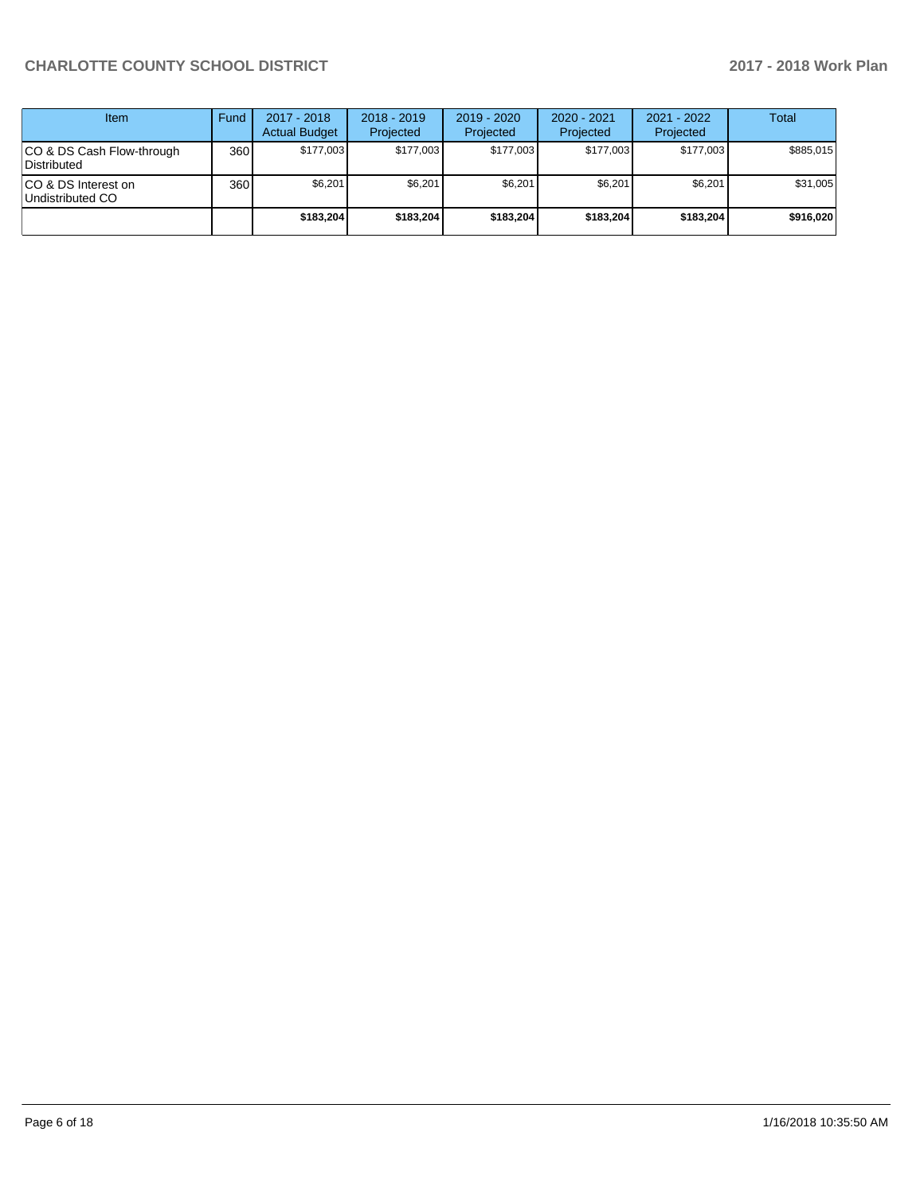| Item                                      | Fund | $2017 - 2018$<br><b>Actual Budget</b> | $2018 - 2019$<br>Projected | $2019 - 2020$<br>Projected | $2020 - 2021$<br>Projected | 2021 - 2022<br>Projected | <b>Total</b> |
|-------------------------------------------|------|---------------------------------------|----------------------------|----------------------------|----------------------------|--------------------------|--------------|
| ICO & DS Cash Flow-through<br>Distributed | 360  | \$177.003                             | \$177.003                  | \$177.003                  | \$177.003                  | \$177.003                | \$885.015    |
| ICO & DS Interest on<br>Undistributed CO  | 360  | \$6,201                               | \$6,201                    | \$6,201                    | \$6.201                    | \$6,201                  | \$31,005     |
|                                           |      | \$183,204                             | \$183,204                  | \$183,204                  | \$183,204                  | \$183,204                | \$916,020    |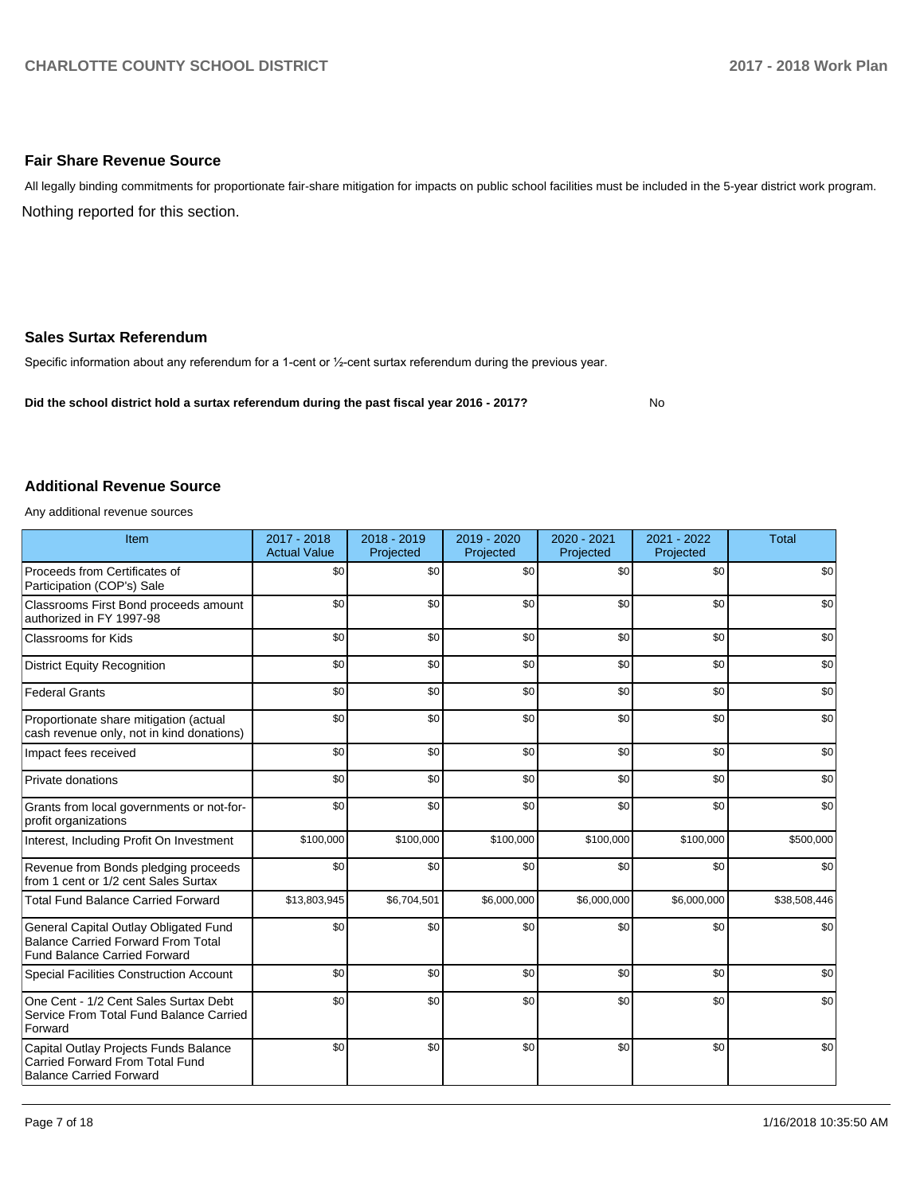## **Fair Share Revenue Source**

Nothing reported for this section. All legally binding commitments for proportionate fair-share mitigation for impacts on public school facilities must be included in the 5-year district work program.

### **Sales Surtax Referendum**

Specific information about any referendum for a 1-cent or 1/2-cent surtax referendum during the previous year.

**Did the school district hold a surtax referendum during the past fiscal year 2016 - 2017?**

No

#### **Additional Revenue Source**

Any additional revenue sources

| Item                                                                                                                      | 2017 - 2018<br><b>Actual Value</b> | 2018 - 2019<br>Projected | 2019 - 2020<br>Projected | 2020 - 2021<br>Projected | 2021 - 2022<br>Projected | <b>Total</b> |
|---------------------------------------------------------------------------------------------------------------------------|------------------------------------|--------------------------|--------------------------|--------------------------|--------------------------|--------------|
| Proceeds from Certificates of<br>Participation (COP's) Sale                                                               | \$0                                | \$0                      | \$0                      | \$0                      | \$0                      | \$0          |
| Classrooms First Bond proceeds amount<br>authorized in FY 1997-98                                                         | \$0                                | \$0                      | \$0                      | \$0                      | \$0                      | \$0          |
| <b>Classrooms for Kids</b>                                                                                                | \$0                                | \$0                      | \$0                      | \$0                      | \$0                      | \$0          |
| <b>District Equity Recognition</b>                                                                                        | \$0                                | \$0                      | \$0                      | \$0                      | \$0                      | \$0          |
| <b>Federal Grants</b>                                                                                                     | \$0                                | \$0                      | \$0                      | \$0                      | \$0                      | \$0          |
| Proportionate share mitigation (actual<br>cash revenue only, not in kind donations)                                       | \$0                                | \$0                      | \$0                      | \$0                      | \$0                      | \$0          |
| Impact fees received                                                                                                      | \$0                                | \$0                      | \$0                      | \$0                      | \$0                      | \$0          |
| Private donations                                                                                                         | \$0                                | \$0                      | \$0                      | \$0                      | \$0                      | \$0          |
| Grants from local governments or not-for-<br>profit organizations                                                         | \$0                                | \$0                      | \$0                      | \$0                      | \$0                      | \$0          |
| Interest, Including Profit On Investment                                                                                  | \$100,000                          | \$100,000                | \$100,000                | \$100,000                | \$100,000                | \$500,000    |
| Revenue from Bonds pledging proceeds<br>from 1 cent or 1/2 cent Sales Surtax                                              | \$0                                | \$0                      | \$0                      | \$0                      | \$0                      | \$0          |
| <b>Total Fund Balance Carried Forward</b>                                                                                 | \$13,803,945                       | \$6,704,501              | \$6,000,000              | \$6,000,000              | \$6,000,000              | \$38,508,446 |
| General Capital Outlay Obligated Fund<br><b>Balance Carried Forward From Total</b><br><b>Fund Balance Carried Forward</b> | \$0                                | \$0                      | \$0                      | \$0                      | \$0                      | \$0          |
| Special Facilities Construction Account                                                                                   | \$0                                | \$0                      | \$0                      | \$0                      | \$0                      | \$0          |
| One Cent - 1/2 Cent Sales Surtax Debt<br>Service From Total Fund Balance Carried<br>Forward                               | \$0                                | \$0                      | \$0                      | \$0                      | \$0                      | \$0          |
| Capital Outlay Projects Funds Balance<br>Carried Forward From Total Fund<br><b>Balance Carried Forward</b>                | \$0                                | \$0                      | \$0                      | \$0                      | \$0                      | \$0          |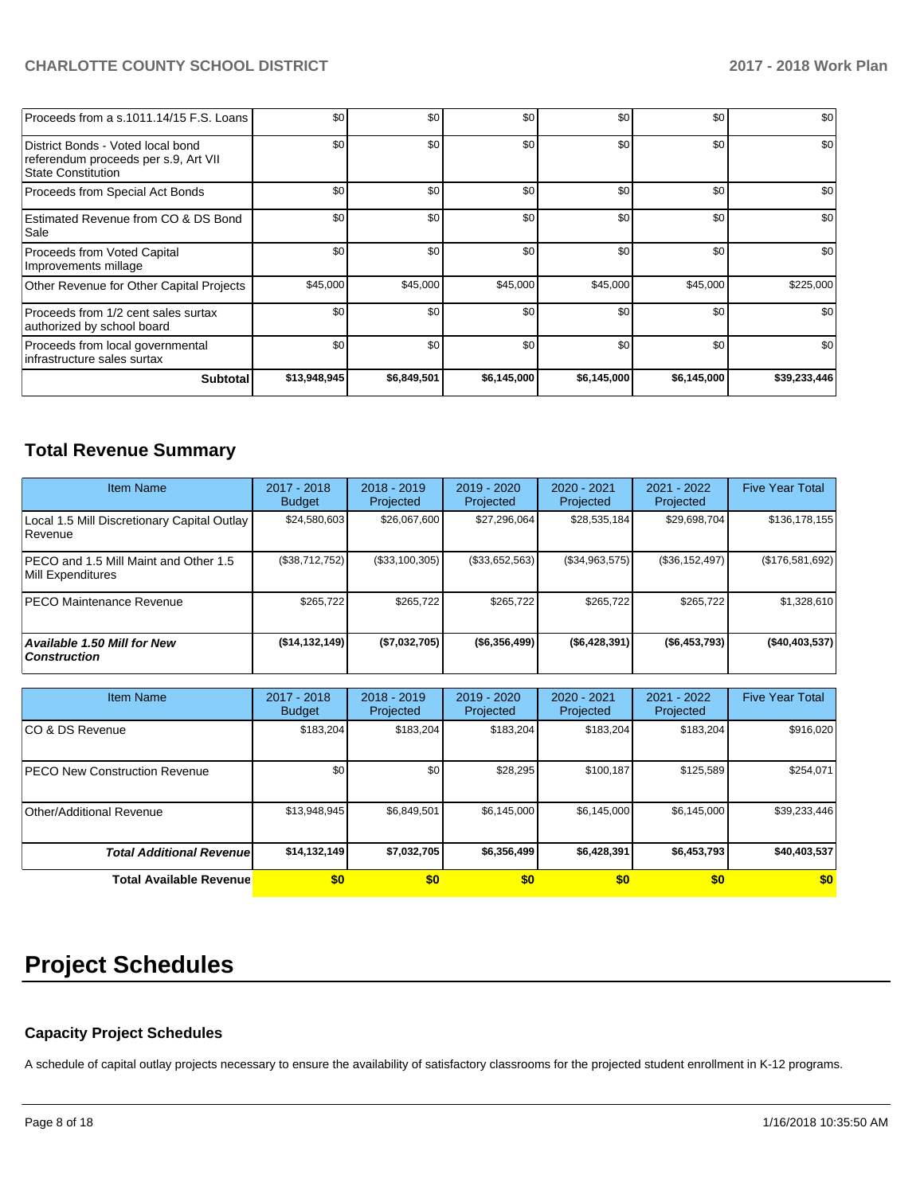| Proceeds from a s.1011.14/15 F.S. Loans                                                                | \$0          | \$0         | \$0         | \$0         | \$0         | \$0          |
|--------------------------------------------------------------------------------------------------------|--------------|-------------|-------------|-------------|-------------|--------------|
| District Bonds - Voted local bond<br>referendum proceeds per s.9, Art VII<br><b>State Constitution</b> | \$0          | \$0         | \$0         | \$0         | \$0         | \$0          |
| Proceeds from Special Act Bonds                                                                        | \$0          | \$0         | \$0         | \$0         | \$0         | \$0          |
| Estimated Revenue from CO & DS Bond<br>Sale                                                            | \$0          | \$0         | \$0         | \$0         | \$0         | \$0          |
| Proceeds from Voted Capital<br>Improvements millage                                                    | \$0          | \$0         | \$0         | \$0         | \$0         | \$0          |
| Other Revenue for Other Capital Projects                                                               | \$45,000     | \$45,000    | \$45,000    | \$45,000    | \$45,000    | \$225,000    |
| Proceeds from 1/2 cent sales surtax<br>authorized by school board                                      | \$0          | \$0         | \$0         | \$0         | \$0         | \$0          |
| Proceeds from local governmental<br>infrastructure sales surtax                                        | \$0          | \$0         | \$0         | \$0         | \$0         | \$0          |
| Subtotal                                                                                               | \$13,948,945 | \$6,849,501 | \$6,145,000 | \$6,145,000 | \$6,145,000 | \$39,233,446 |

# **Total Revenue Summary**

| <b>Item Name</b>                                              | $2017 - 2018$<br><b>Budget</b> | $2018 - 2019$<br>Projected | $2019 - 2020$<br>Projected | $2020 - 2021$<br>Projected | 2021 - 2022<br>Projected | <b>Five Year Total</b> |
|---------------------------------------------------------------|--------------------------------|----------------------------|----------------------------|----------------------------|--------------------------|------------------------|
| Local 1.5 Mill Discretionary Capital Outlay<br><b>Revenue</b> | \$24,580,603                   | \$26,067,600               | \$27,296,064               | \$28,535,184               | \$29,698,704             | \$136,178,155          |
| PECO and 1.5 Mill Maint and Other 1.5<br>Mill Expenditures    | (\$38,712,752)                 | (\$33,100,305)             | (\$33,652,563)             | (S34, 963, 575)            | (S36, 152, 497)          | (\$176,581,692)        |
| <b>PECO Maintenance Revenue</b>                               | \$265.722                      | \$265,722                  | \$265.722                  | \$265.722                  | \$265,722                | \$1,328,610            |
| Available 1.50 Mill for New<br>  Construction                 | ( \$14, 132, 149]              | (\$7,032,705)              | ( \$6,356,499)             | ( \$6,428,391)             | ( \$6,453,793)           | ( \$40,403,537]        |

| <b>Item Name</b>                      | 2017 - 2018<br><b>Budget</b> | $2018 - 2019$<br>Projected | 2019 - 2020<br>Projected | 2020 - 2021<br>Projected | $2021 - 2022$<br>Projected | <b>Five Year Total</b> |
|---------------------------------------|------------------------------|----------------------------|--------------------------|--------------------------|----------------------------|------------------------|
| ICO & DS Revenue                      | \$183,204                    | \$183,204                  | \$183.204                | \$183,204                | \$183,204                  | \$916,020              |
| <b>IPECO New Construction Revenue</b> | \$0 <sub>1</sub>             | \$0                        | \$28,295                 | \$100,187                | \$125,589                  | \$254,071              |
| Other/Additional Revenue              | \$13,948,945                 | \$6,849,501                | \$6,145,000              | \$6,145,000              | \$6,145,000                | \$39,233,446           |
| <b>Total Additional Revenuel</b>      | \$14,132,149                 | \$7,032,705                | \$6,356,499              | \$6,428,391              | \$6,453,793                | \$40,403,537           |
| <b>Total Available Revenue</b>        | \$0                          | \$0                        | \$0                      | \$0                      | \$0                        | \$0                    |

# **Project Schedules**

# **Capacity Project Schedules**

A schedule of capital outlay projects necessary to ensure the availability of satisfactory classrooms for the projected student enrollment in K-12 programs.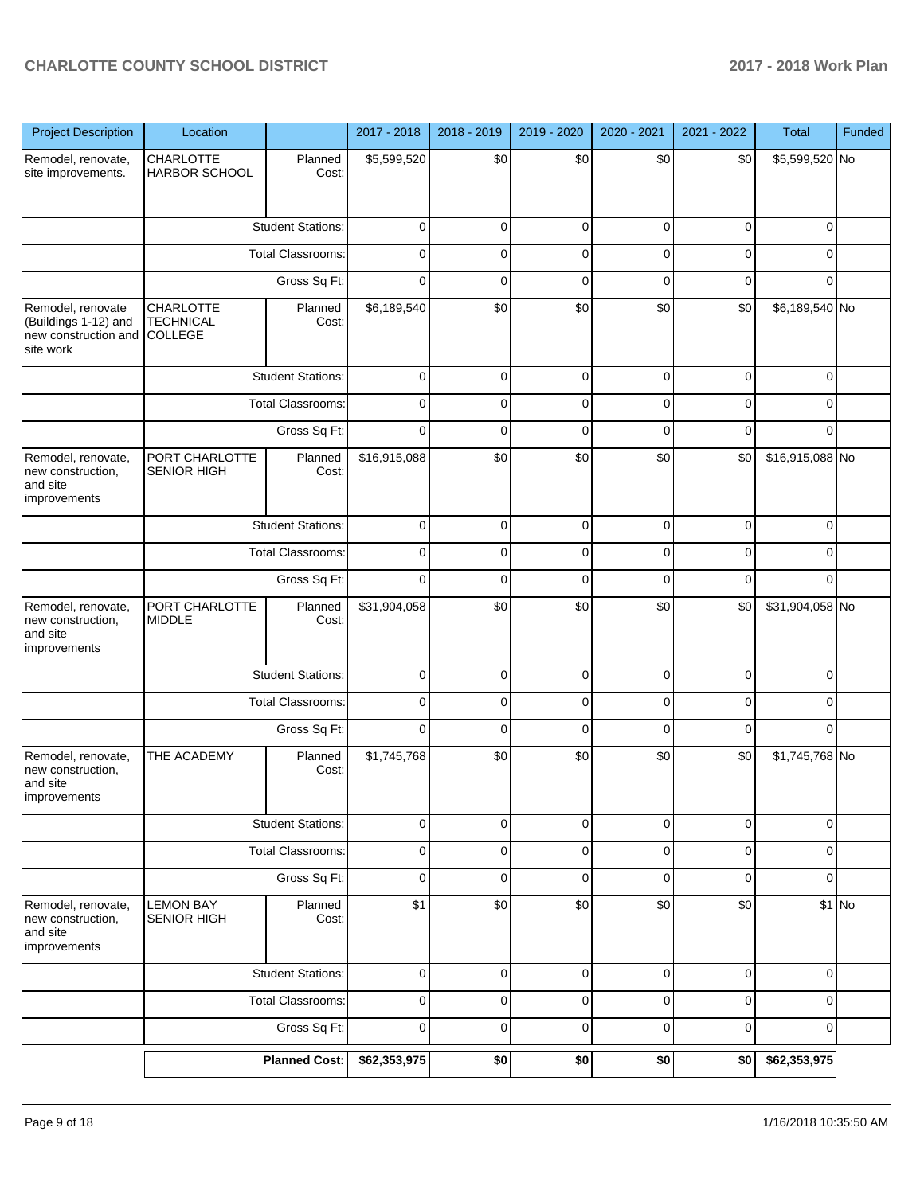| <b>Project Description</b>                                                     | Location                                                                                        |                          | 2017 - 2018  | 2018 - 2019 | 2019 - 2020 | 2020 - 2021 | 2021 - 2022 | <b>Total</b>    | Funded |
|--------------------------------------------------------------------------------|-------------------------------------------------------------------------------------------------|--------------------------|--------------|-------------|-------------|-------------|-------------|-----------------|--------|
| Remodel, renovate,<br>site improvements.                                       | CHARLOTTE<br>HARBOR SCHOOL                                                                      | Planned<br>Cost:         | \$5,599,520  | \$0         | \$0         | \$0         | \$0         | \$5,599,520 No  |        |
|                                                                                |                                                                                                 | <b>Student Stations:</b> | $\pmb{0}$    | $\mathbf 0$ | $\mathbf 0$ | 0           | $\mathbf 0$ | $\mathbf 0$     |        |
|                                                                                |                                                                                                 | <b>Total Classrooms:</b> | 0            | $\mathbf 0$ | $\mathbf 0$ | $\mathbf 0$ | $\mathbf 0$ | $\mathbf 0$     |        |
|                                                                                |                                                                                                 | Gross Sq Ft:             | $\mathbf 0$  | $\mathbf 0$ | $\mathbf 0$ | $\mathbf 0$ | $\mathbf 0$ | $\mathbf 0$     |        |
| Remodel, renovate<br>(Buildings 1-12) and<br>new construction and<br>site work | CHARLOTTE<br><b>TECHNICAL</b><br>COLLEGE                                                        | Planned<br>Cost:         | \$6,189,540  | \$0         | \$0         | \$0         | \$0         | \$6,189,540 No  |        |
|                                                                                |                                                                                                 | <b>Student Stations:</b> | $\mathbf 0$  | $\mathbf 0$ | $\mathbf 0$ | 0           | 0           | $\mathbf 0$     |        |
|                                                                                |                                                                                                 | Total Classrooms:        | $\mathbf 0$  | $\mathbf 0$ | $\mathbf 0$ | $\mathbf 0$ | $\mathbf 0$ | $\mathbf 0$     |        |
|                                                                                |                                                                                                 | Gross Sq Ft:             | $\mathbf 0$  | $\mathbf 0$ | $\mathbf 0$ | $\mathbf 0$ | $\mathbf 0$ | $\mathbf 0$     |        |
| Remodel, renovate,<br>new construction,<br>and site<br>improvements            | PORT CHARLOTTE<br><b>SENIOR HIGH</b>                                                            | Planned<br>Cost:         | \$16,915,088 | \$0         | \$0         | \$0         | \$0         | \$16,915,088 No |        |
|                                                                                |                                                                                                 | <b>Student Stations:</b> | $\pmb{0}$    | $\mathbf 0$ | $\mathbf 0$ | 0           | $\mathbf 0$ | $\mathbf 0$     |        |
|                                                                                |                                                                                                 | <b>Total Classrooms:</b> | $\pmb{0}$    | $\mathbf 0$ | $\mathbf 0$ | 0           | $\pmb{0}$   | $\mathbf 0$     |        |
|                                                                                |                                                                                                 | Gross Sq Ft:             | $\mathbf 0$  | $\mathbf 0$ | $\mathbf 0$ | $\mathbf 0$ | $\mathbf 0$ | $\Omega$        |        |
| Remodel, renovate,<br>new construction,<br>and site<br>improvements            | \$0<br>\$0<br>\$0<br>PORT CHARLOTTE<br>\$31,904,058<br>\$0<br>Planned<br><b>MIDDLE</b><br>Cost: | \$31,904,058 No          |              |             |             |             |             |                 |        |
|                                                                                |                                                                                                 | <b>Student Stations:</b> | $\mathbf 0$  | $\mathbf 0$ | $\mathbf 0$ | 0           | $\pmb{0}$   | $\mathbf 0$     |        |
|                                                                                |                                                                                                 | <b>Total Classrooms:</b> | $\mathbf 0$  | $\mathbf 0$ | $\mathbf 0$ | $\mathbf 0$ | $\mathbf 0$ | $\mathbf 0$     |        |
|                                                                                |                                                                                                 | Gross Sq Ft:             | $\mathbf 0$  | $\mathbf 0$ | $\mathbf 0$ | $\mathbf 0$ | $\mathbf 0$ | $\Omega$        |        |
| Remodel, renovate,<br>new construction,<br>and site<br><b>Improvements</b>     | THE ACADEMY                                                                                     | Planned<br>Cost:         | \$1,745,768  | \$0         | \$0         | \$0         | \$0         | \$1,745,768 No  |        |
|                                                                                |                                                                                                 | <b>Student Stations:</b> | $\pmb{0}$    | $\mathbf 0$ | $\mathbf 0$ | 0           | $\pmb{0}$   | $\pmb{0}$       |        |
|                                                                                |                                                                                                 | Total Classrooms:        | $\pmb{0}$    | $\mathbf 0$ | $\mathbf 0$ | 0           | $\pmb{0}$   | $\pmb{0}$       |        |
|                                                                                |                                                                                                 | Gross Sq Ft:             | $\mathbf 0$  | $\mathbf 0$ | $\mathbf 0$ | 0           | $\mathbf 0$ | $\mathbf 0$     |        |
| Remodel, renovate,<br>new construction,<br>and site<br>improvements            | <b>LEMON BAY</b><br>SENIOR HIGH                                                                 | Planned<br>Cost:         | \$1          | \$0         | \$0         | \$0         | \$0         |                 | \$1 No |
|                                                                                |                                                                                                 | <b>Student Stations:</b> | $\mathbf 0$  | $\mathbf 0$ | $\mathbf 0$ | 0           | $\pmb{0}$   | $\pmb{0}$       |        |
|                                                                                |                                                                                                 | Total Classrooms:        | $\pmb{0}$    | $\mathbf 0$ | $\mathbf 0$ | $\mathbf 0$ | $\pmb{0}$   | $\mathbf 0$     |        |
|                                                                                |                                                                                                 | Gross Sq Ft:             | $\mathbf 0$  | $\mathbf 0$ | $\mathbf 0$ | 0           | $\pmb{0}$   | $\mathbf 0$     |        |
|                                                                                |                                                                                                 | <b>Planned Cost:</b>     | \$62,353,975 | \$0         | \$0         | \$0         | \$0         | \$62,353,975    |        |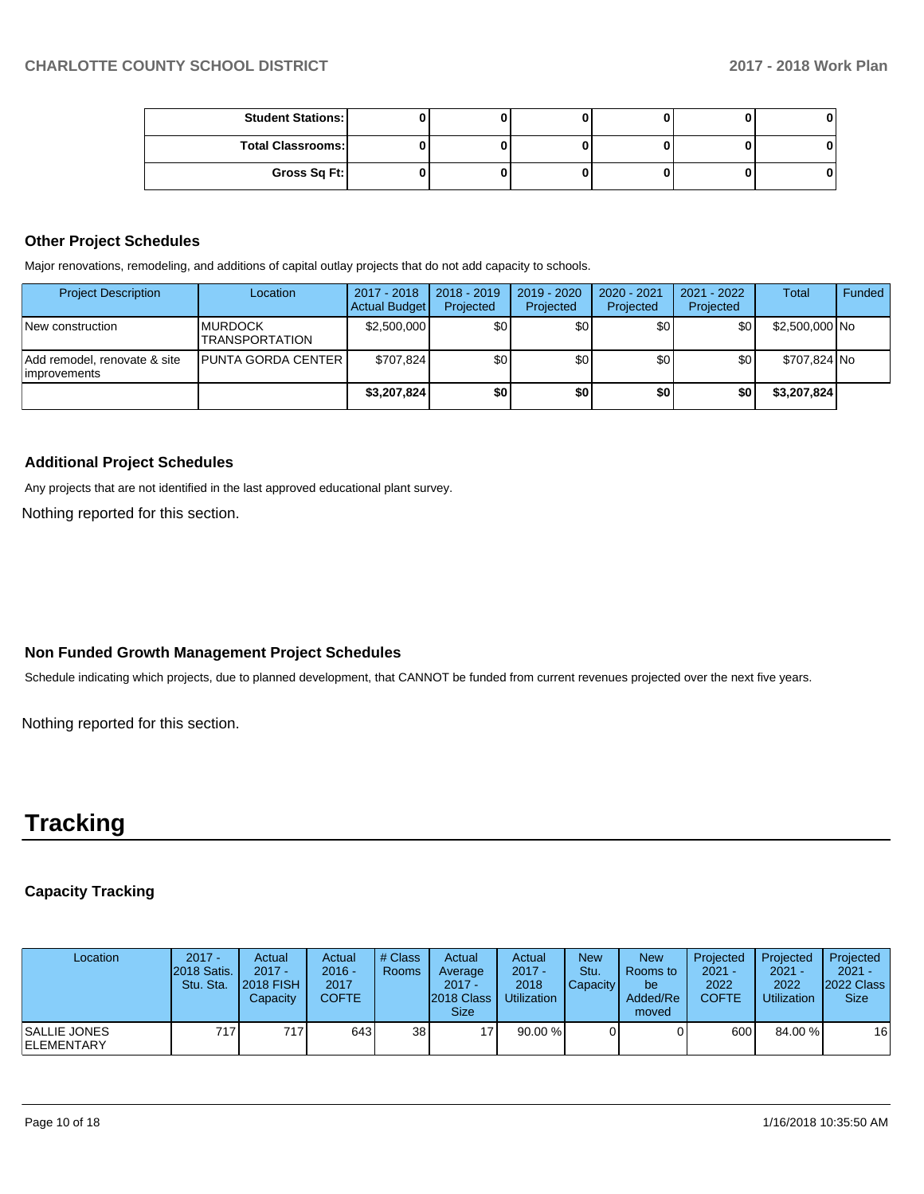| <b>Student Stations:</b> |  |  |  |
|--------------------------|--|--|--|
| <b>Total Classrooms:</b> |  |  |  |
| Gross Sq Ft:             |  |  |  |

## **Other Project Schedules**

Major renovations, remodeling, and additions of capital outlay projects that do not add capacity to schools.

| <b>Project Description</b>                    | Location                                  | 2017 - 2018<br>Actual Budget | $2018 - 2019$<br>Projected | 2019 - 2020<br>Projected | 2020 - 2021<br>Projected | 2021 - 2022<br>Projected | <b>Total</b>   | Funded |
|-----------------------------------------------|-------------------------------------------|------------------------------|----------------------------|--------------------------|--------------------------|--------------------------|----------------|--------|
| New construction                              | <b>IMURDOCK</b><br><b>ITRANSPORTATION</b> | \$2,500,000                  | ا 30                       | \$0                      | \$0 <sub>1</sub>         | \$0                      | \$2,500,000 No |        |
| Add remodel, renovate & site<br>limprovements | <b>PUNTA GORDA CENTER I</b>               | \$707.824                    | ا 30                       | \$0                      | \$0                      | \$0                      | \$707.824 No   |        |
|                                               |                                           | \$3,207,824                  | \$0                        | \$0 <sub>1</sub>         | \$0                      | \$0                      | \$3,207,824    |        |

#### **Additional Project Schedules**

Any projects that are not identified in the last approved educational plant survey.

Nothing reported for this section.

#### **Non Funded Growth Management Project Schedules**

Schedule indicating which projects, due to planned development, that CANNOT be funded from current revenues projected over the next five years.

Nothing reported for this section.

# **Tracking**

## **Capacity Tracking**

| Location                            | $2017 -$<br>2018 Satis.<br>Stu. Sta. | Actual<br>$2017 -$<br><b>2018 FISH</b><br>Capacity | Actual<br>$2016 -$<br>2017<br><b>COFTE</b> | # Class<br>Rooms | Actual<br>Average<br>$2017 -$<br><b>2018 Class</b><br><b>Size</b> | Actual<br>$2017 -$<br>2018<br>Utilization | <b>New</b><br>Stu.<br>Capacity | <b>New</b><br>Rooms to<br>be<br>Added/Re<br>moved | Projected<br>$2021 -$<br>2022<br><b>COFTE</b> | Projected<br>$2021 -$<br>2022<br><b>Utilization</b> | Projected<br>$2021 -$<br><b>2022 Class</b><br><b>Size</b> |
|-------------------------------------|--------------------------------------|----------------------------------------------------|--------------------------------------------|------------------|-------------------------------------------------------------------|-------------------------------------------|--------------------------------|---------------------------------------------------|-----------------------------------------------|-----------------------------------------------------|-----------------------------------------------------------|
| ISALLIE JONES<br><b>IELEMENTARY</b> | 717 I                                | 717                                                | 643                                        | 38               | 171                                                               | 90.00%                                    |                                |                                                   | 600                                           | 84.00 %                                             | 16 <sup>1</sup>                                           |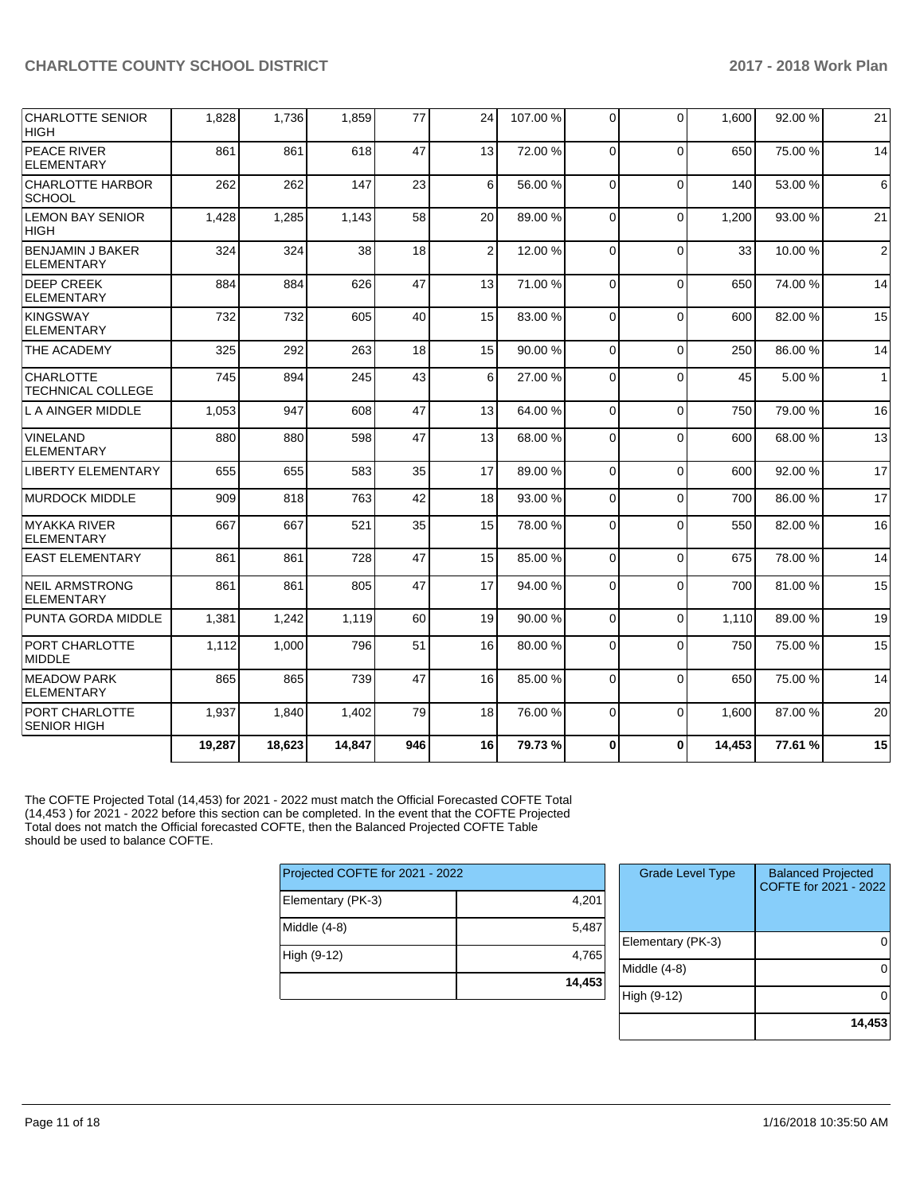| CHARLOTTE SENIOR<br><b>HIGH</b>              | 1,828  | 1,736  | 1,859  | 77  | 24             | 107.00% | $\Omega$       | $\Omega$    | 1.600  | 92.00 % | 21             |
|----------------------------------------------|--------|--------|--------|-----|----------------|---------|----------------|-------------|--------|---------|----------------|
| <b>PEACE RIVER</b><br>ELEMENTARY             | 861    | 861    | 618    | 47  | 13             | 72.00 % | $\Omega$       | $\Omega$    | 650    | 75.00 % | 14             |
| CHARLOTTE HARBOR<br><b>SCHOOL</b>            | 262    | 262    | 147    | 23  | 6              | 56.00 % | $\Omega$       | $\Omega$    | 140    | 53.00 % | 6              |
| <b>LEMON BAY SENIOR</b><br><b>HIGH</b>       | 1,428  | 1,285  | 1,143  | 58  | 20             | 89.00 % | $\Omega$       | $\Omega$    | 1,200  | 93.00 % | 21             |
| BENJAMIN J BAKER<br>ELEMENTARY               | 324    | 324    | 38     | 18  | $\overline{2}$ | 12.00 % | 0              | $\Omega$    | 33     | 10.00 % | $\overline{2}$ |
| <b>DEEP CREEK</b><br>ELEMENTARY              | 884    | 884    | 626    | 47  | 13             | 71.00%  | $\Omega$       | $\Omega$    | 650    | 74.00 % | 14             |
| KINGSWAY<br>ELEMENTARY                       | 732    | 732    | 605    | 40  | 15             | 83.00 % | $\Omega$       | $\Omega$    | 600    | 82.00 % | 15             |
| THE ACADEMY                                  | 325    | 292    | 263    | 18  | 15             | 90.00%  | $\Omega$       | $\Omega$    | 250    | 86.00 % | 14             |
| <b>CHARLOTTE</b><br><b>TECHNICAL COLLEGE</b> | 745    | 894    | 245    | 43  | 6              | 27.00 % | $\Omega$       | $\Omega$    | 45     | 5.00 %  | $\mathbf{1}$   |
| L A AINGER MIDDLE                            | 1,053  | 947    | 608    | 47  | 13             | 64.00%  | $\Omega$       | $\Omega$    | 750    | 79.00 % | 16             |
| <b>VINELAND</b><br><b>ELEMENTARY</b>         | 880    | 880    | 598    | 47  | 13             | 68.00 % | $\Omega$       | $\Omega$    | 600    | 68.00 % | 13             |
| LIBERTY ELEMENTARY                           | 655    | 655    | 583    | 35  | 17             | 89.00 % | $\Omega$       | $\Omega$    | 600    | 92.00 % | 17             |
| <b>IMURDOCK MIDDLE</b>                       | 909    | 818    | 763    | 42  | 18             | 93.00 % | $\Omega$       | $\Omega$    | 700    | 86.00 % | 17             |
| MYAKKA RIVER<br><b>ELEMENTARY</b>            | 667    | 667    | 521    | 35  | 15             | 78.00 % | $\overline{0}$ | $\Omega$    | 550    | 82.00 % | 16             |
| <b>EAST ELEMENTARY</b>                       | 861    | 861    | 728    | 47  | 15             | 85.00 % | $\mathbf 0$    | $\mathbf 0$ | 675    | 78.00 % | 14             |
| NEIL ARMSTRONG<br>ELEMENTARY                 | 861    | 861    | 805    | 47  | 17             | 94.00 % | $\Omega$       | $\Omega$    | 700    | 81.00%  | 15             |
| PUNTA GORDA MIDDLE                           | 1,381  | 1,242  | 1,119  | 60  | 19             | 90.00 % | $\Omega$       | $\Omega$    | 1.110  | 89.00 % | 19             |
| PORT CHARLOTTE<br>MIDDLE                     | 1,112  | 1,000  | 796    | 51  | 16             | 80.00%  | $\Omega$       | $\Omega$    | 750    | 75.00 % | 15             |
| <b>MEADOW PARK</b><br><b>ELEMENTARY</b>      | 865    | 865    | 739    | 47  | 16             | 85.00 % | $\Omega$       | $\Omega$    | 650    | 75.00 % | 14             |
| PORT CHARLOTTE<br><b>SENIOR HIGH</b>         | 1,937  | 1.840  | 1,402  | 79  | 18             | 76.00 % | $\Omega$       | $\Omega$    | 1.600  | 87.00 % | 20             |
|                                              | 19,287 | 18,623 | 14,847 | 946 | 16             | 79.73%  | $\bf{0}$       | $\Omega$    | 14,453 | 77.61 % | 15             |

The COFTE Projected Total (14,453) for 2021 - 2022 must match the Official Forecasted COFTE Total (14,453 ) for 2021 - 2022 before this section can be completed. In the event that the COFTE Projected Total does not match the Official forecasted COFTE, then the Balanced Projected COFTE Table should be used to balance COFTE.

| Projected COFTE for 2021 - 2022 |        |  |  |  |  |  |  |
|---------------------------------|--------|--|--|--|--|--|--|
| Elementary (PK-3)               | 4,201  |  |  |  |  |  |  |
| Middle (4-8)                    | 5,487  |  |  |  |  |  |  |
| High (9-12)                     | 4,765  |  |  |  |  |  |  |
|                                 | 14,453 |  |  |  |  |  |  |

| <b>Grade Level Type</b> | <b>Balanced Projected</b><br>COFTE for 2021 - 2022 |
|-------------------------|----------------------------------------------------|
| Elementary (PK-3)       |                                                    |
| Middle $(4-8)$          |                                                    |
| High (9-12)             |                                                    |
|                         | 14,453                                             |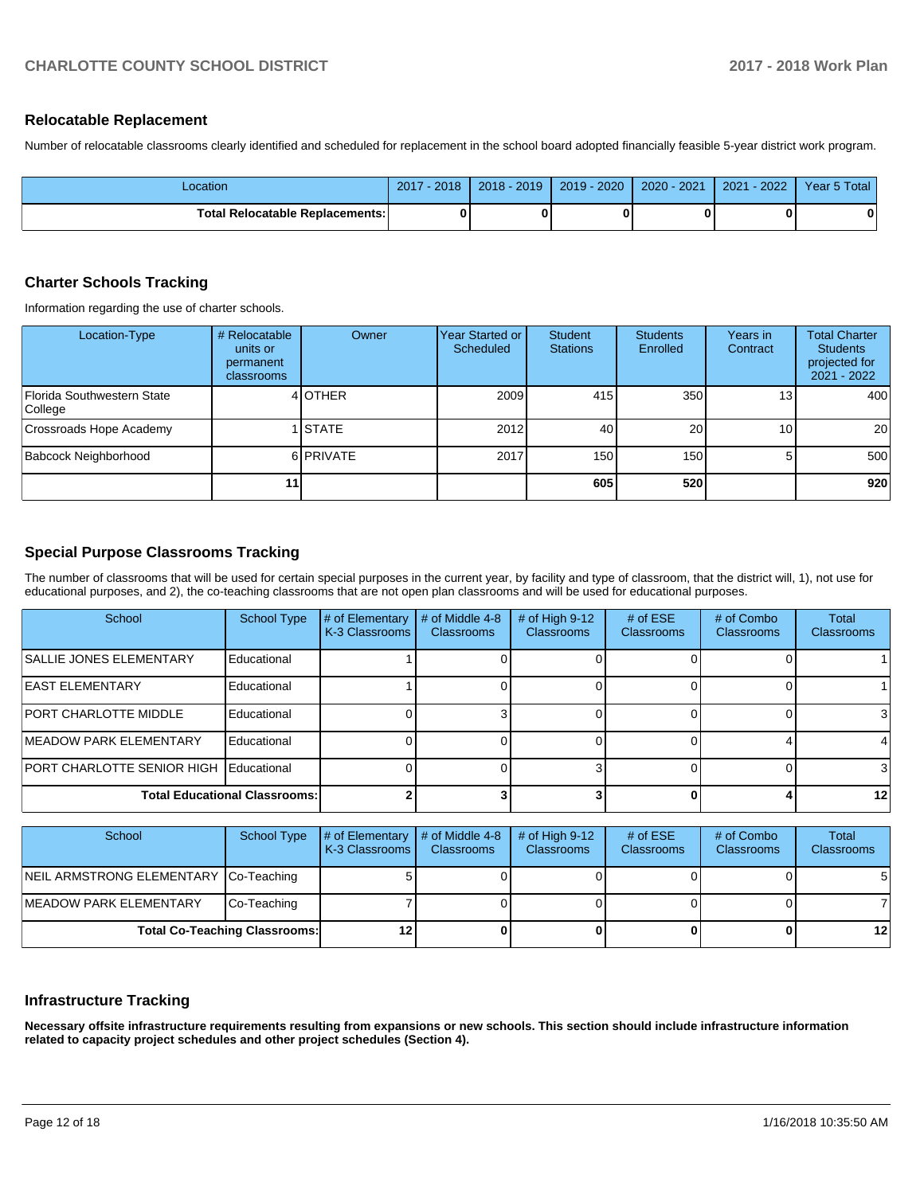### **Relocatable Replacement**

Number of relocatable classrooms clearly identified and scheduled for replacement in the school board adopted financially feasible 5-year district work program.

| Location                               | $-2018$<br>2017 | $2018 - 2019$ | $2019 - 2020$ | 2020 - 2021 | $-2022/$<br>2021 | Year 5 Total |
|----------------------------------------|-----------------|---------------|---------------|-------------|------------------|--------------|
| <b>Total Relocatable Replacements:</b> |                 |               |               |             |                  | 0            |

## **Charter Schools Tracking**

Information regarding the use of charter schools.

| Location-Type                         | # Relocatable<br>units or<br>permanent<br>classrooms | Owner          | Year Started or<br>Scheduled | <b>Student</b><br><b>Stations</b> | <b>Students</b><br>Enrolled | Years in<br>Contract | <b>Total Charter</b><br><b>Students</b><br>projected for<br>2021 - 2022 |
|---------------------------------------|------------------------------------------------------|----------------|------------------------------|-----------------------------------|-----------------------------|----------------------|-------------------------------------------------------------------------|
| Florida Southwestern State<br>College |                                                      | 4 OTHER        | 2009                         | 415                               | 350                         | 13 <sub>1</sub>      | 400                                                                     |
| Crossroads Hope Academy               |                                                      | <b>I</b> STATE | 2012                         | 40                                | 20                          | 10                   | 20 <sub>1</sub>                                                         |
| Babcock Neighborhood                  |                                                      | 6 PRIVATE      | 2017                         | 150                               | 150                         |                      | 500                                                                     |
|                                       | 11                                                   |                |                              | 605                               | 520                         |                      | 920                                                                     |

## **Special Purpose Classrooms Tracking**

The number of classrooms that will be used for certain special purposes in the current year, by facility and type of classroom, that the district will, 1), not use for educational purposes, and 2), the co-teaching classrooms that are not open plan classrooms and will be used for educational purposes.

| School                               | <b>School Type</b> | # of Elementary<br>K-3 Classrooms | # of Middle 4-8<br><b>Classrooms</b> | # of High $9-12$<br><b>Classrooms</b> | # of $ESE$<br>Classrooms | # of Combo<br><b>Classrooms</b> | <b>Total</b><br><b>Classrooms</b> |
|--------------------------------------|--------------------|-----------------------------------|--------------------------------------|---------------------------------------|--------------------------|---------------------------------|-----------------------------------|
| <b>SALLIE JONES ELEMENTARY</b>       | Educational        |                                   |                                      |                                       |                          |                                 |                                   |
| <b>EAST ELEMENTARY</b>               | Educational        |                                   |                                      |                                       |                          |                                 |                                   |
| <b>IPORT CHARLOTTE MIDDLE</b>        | Educational        |                                   |                                      |                                       |                          |                                 |                                   |
| <b>IMEADOW PARK ELEMENTARY</b>       | Educational        |                                   |                                      |                                       |                          |                                 |                                   |
| PORT CHARLOTTE SENIOR HIGH           | Educational        |                                   |                                      |                                       |                          |                                 |                                   |
| <b>Total Educational Classrooms:</b> |                    |                                   |                                      |                                       |                          |                                 | 12 <sup>1</sup>                   |

| School                                | School Type | $\sharp$ of Elementary $\sharp$ of Middle 4-8<br><b>K-3 Classrooms</b> | <b>Classrooms</b> | # of High $9-12$<br><b>Classrooms</b> | # of $ESE$<br><b>Classrooms</b> | # of Combo<br><b>Classrooms</b> | Total<br><b>Classrooms</b> |
|---------------------------------------|-------------|------------------------------------------------------------------------|-------------------|---------------------------------------|---------------------------------|---------------------------------|----------------------------|
| NEIL ARMSTRONG ELEMENTARY Co-Teaching |             |                                                                        |                   |                                       |                                 |                                 | 5                          |
| <b>IMEADOW PARK ELEMENTARY</b>        | Co-Teaching |                                                                        |                   |                                       |                                 |                                 |                            |
| <b>Total Co-Teaching Classrooms:</b>  |             |                                                                        |                   |                                       |                                 | $12 \,$                         |                            |

### **Infrastructure Tracking**

**Necessary offsite infrastructure requirements resulting from expansions or new schools. This section should include infrastructure information related to capacity project schedules and other project schedules (Section 4).**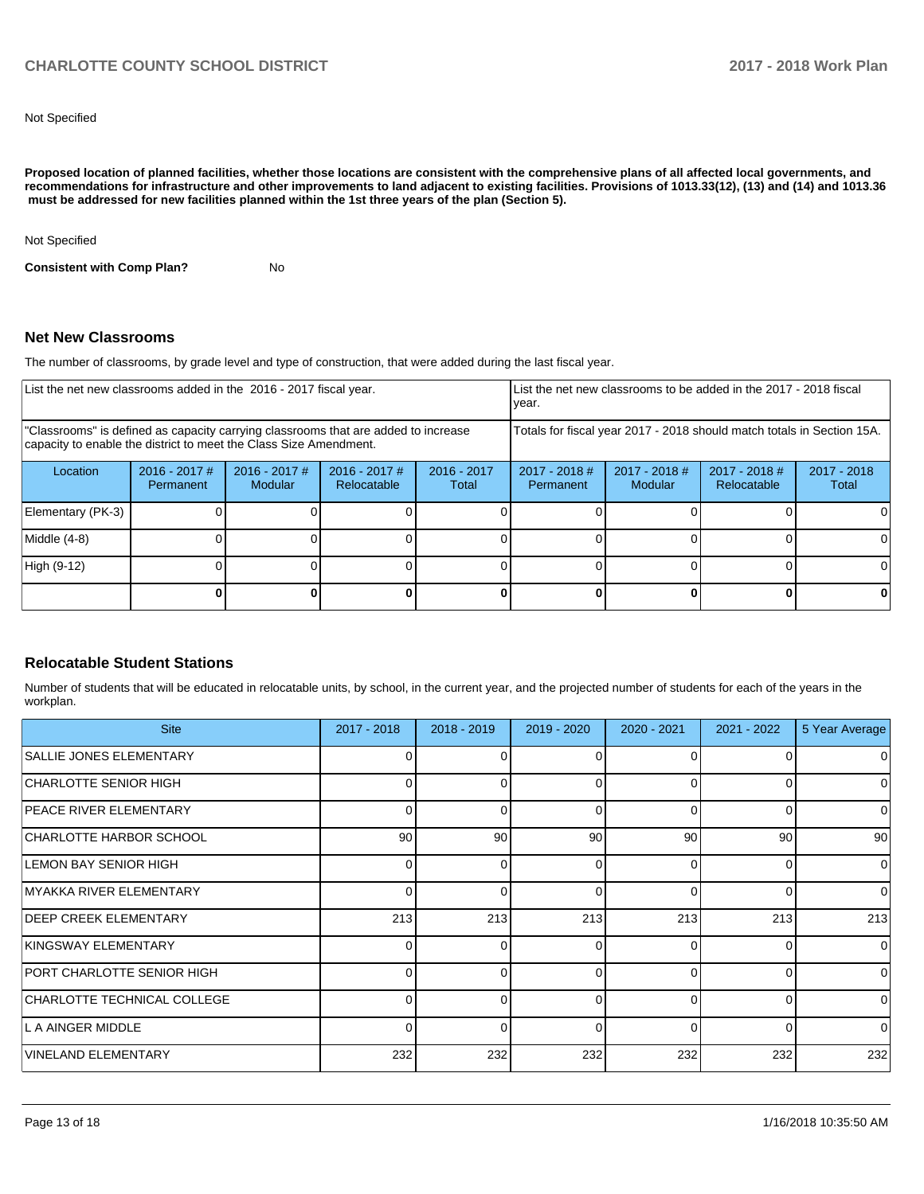Not Specified

**Proposed location of planned facilities, whether those locations are consistent with the comprehensive plans of all affected local governments, and recommendations for infrastructure and other improvements to land adjacent to existing facilities. Provisions of 1013.33(12), (13) and (14) and 1013.36 must be addressed for new facilities planned within the 1st three years of the plan (Section 5).** 

Not Specified

**Consistent with Comp Plan?** No

#### **Net New Classrooms**

The number of classrooms, by grade level and type of construction, that were added during the last fiscal year.

| List the net new classrooms added in the 2016 - 2017 fiscal year.                                                                                       |                            |                            |                                                          |   | List the net new classrooms to be added in the 2017 - 2018 fiscal<br>year. |                            |                                |                      |
|---------------------------------------------------------------------------------------------------------------------------------------------------------|----------------------------|----------------------------|----------------------------------------------------------|---|----------------------------------------------------------------------------|----------------------------|--------------------------------|----------------------|
| "Classrooms" is defined as capacity carrying classrooms that are added to increase<br>capacity to enable the district to meet the Class Size Amendment. |                            |                            |                                                          |   | Totals for fiscal year 2017 - 2018 should match totals in Section 15A.     |                            |                                |                      |
| Location                                                                                                                                                | 2016 - 2017 #<br>Permanent | $2016 - 2017$ #<br>Modular | $2016 - 2017$ #<br>$2016 - 2017$<br>Relocatable<br>Total |   | $2017 - 2018$ #<br>Permanent                                               | $2017 - 2018$ #<br>Modular | $2017 - 2018$ #<br>Relocatable | 2017 - 2018<br>Total |
| Elementary (PK-3)                                                                                                                                       |                            |                            |                                                          |   |                                                                            |                            |                                |                      |
| Middle (4-8)                                                                                                                                            |                            |                            |                                                          |   |                                                                            |                            |                                |                      |
| High (9-12)                                                                                                                                             |                            |                            |                                                          |   |                                                                            |                            |                                |                      |
|                                                                                                                                                         |                            |                            |                                                          | n |                                                                            |                            |                                |                      |

### **Relocatable Student Stations**

Number of students that will be educated in relocatable units, by school, in the current year, and the projected number of students for each of the years in the workplan.

| <b>Site</b>                    | $2017 - 2018$ | $2018 - 2019$ | 2019 - 2020 | 2020 - 2021 | 2021 - 2022 | 5 Year Average  |
|--------------------------------|---------------|---------------|-------------|-------------|-------------|-----------------|
| <b>SALLIE JONES ELEMENTARY</b> |               | 0             | 0           | $\Omega$    |             | 0               |
| CHARLOTTE SENIOR HIGH          |               |               |             | $\Omega$    | 0           | 0               |
| <b>PEACE RIVER ELEMENTARY</b>  | 0             | 0             | 0           | $\Omega$    | 0           | 0               |
| CHARLOTTE HARBOR SCHOOL        | 90            | 90            | 90          | 90          | 90          | 90 <sub>1</sub> |
| LEMON BAY SENIOR HIGH          |               | 0             | $\Omega$    | $\Omega$    | 0           | $\Omega$        |
| IMYAKKA RIVER ELEMENTARY       |               | $\Omega$      | $\Omega$    | $\Omega$    | 0           | $\Omega$        |
| <b>DEEP CREEK ELEMENTARY</b>   | 213           | 213           | 213         | 213         | 213         | 213             |
| KINGSWAY ELEMENTARY            | 0             | 0             | 0           | $\Omega$    | 0           | $\Omega$        |
| PORT CHARLOTTE SENIOR HIGH     |               | 0             | 0           | $\Omega$    | 0           | $\Omega$        |
| CHARLOTTE TECHNICAL COLLEGE    | 0             | $\Omega$      | O           | $\Omega$    | 0           | $\Omega$        |
| L A AINGER MIDDLE              |               | 0             | n           | $\Omega$    | 0           | $\Omega$        |
| VINELAND ELEMENTARY            | 232           | 232           | 232         | 232         | 232         | 232             |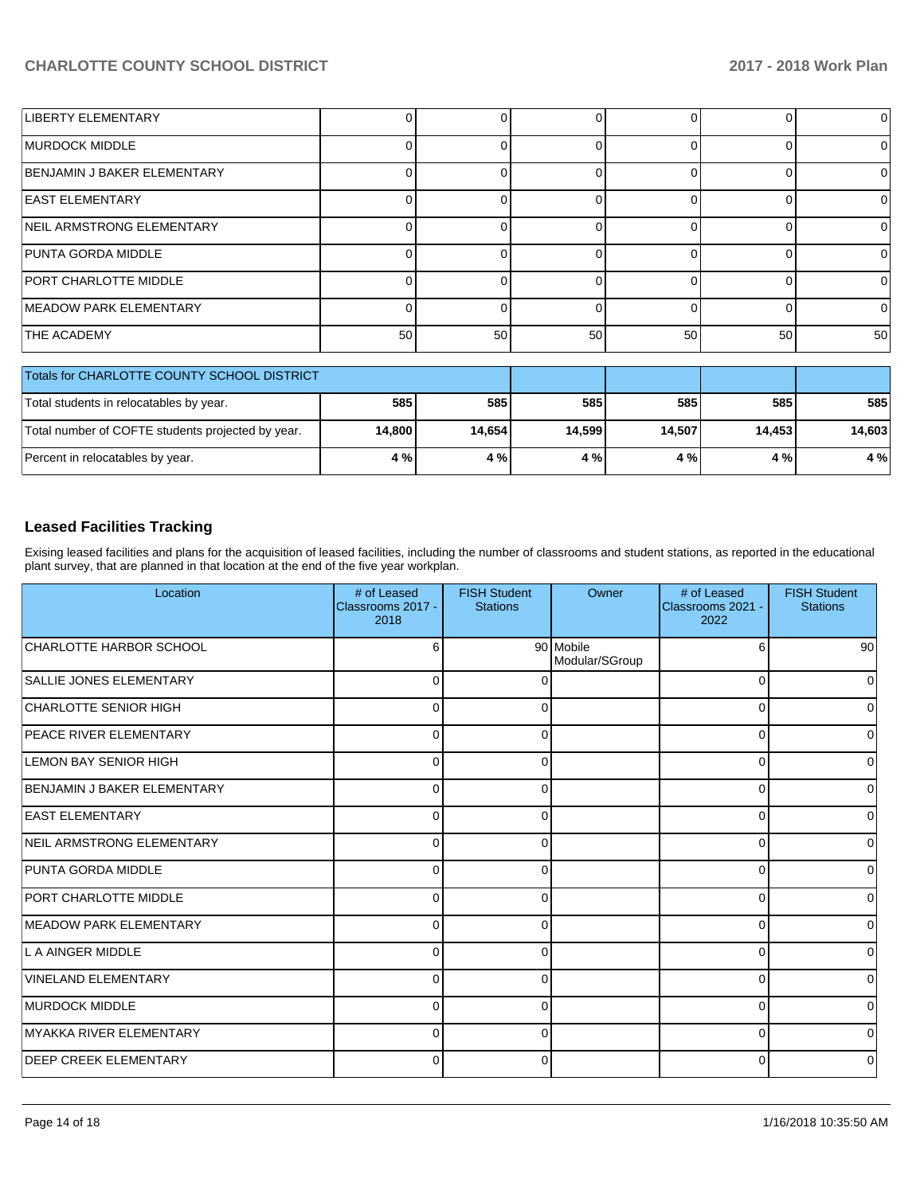| LIBERTY ELEMENTARY             |    |    |    |    |    | ΩI       |
|--------------------------------|----|----|----|----|----|----------|
| <b>IMURDOCK MIDDLE</b>         |    |    |    |    |    | 0        |
| BENJAMIN J BAKER ELEMENTARY    |    |    |    |    |    | 0        |
| <b>EAST ELEMENTARY</b>         |    |    |    |    |    | 0        |
| NEIL ARMSTRONG ELEMENTARY      |    |    |    |    |    | 0        |
| PUNTA GORDA MIDDLE             |    |    |    |    |    | $\Omega$ |
| <b>PORT CHARLOTTE MIDDLE</b>   |    |    |    |    |    | $\Omega$ |
| <b>IMEADOW PARK ELEMENTARY</b> |    |    |    |    |    | $\Omega$ |
| <b>THE ACADEMY</b>             | 50 | 50 | 50 | 50 | 50 | 50       |

| Totals for CHARLOTTE COUNTY SCHOOL DISTRICT       |        |        |        |        |        |        |
|---------------------------------------------------|--------|--------|--------|--------|--------|--------|
| Total students in relocatables by year.           | 585    | 585    | 585    | 585    | 585    | 585    |
| Total number of COFTE students projected by year. | 14.800 | 14.654 | 14.599 | 14.507 | 14.453 | 14.603 |
| Percent in relocatables by year.                  | 4 % l  | 4 %    | 4 %    | 4 % I  | 4 % I  | 4 %    |

# **Leased Facilities Tracking**

Exising leased facilities and plans for the acquisition of leased facilities, including the number of classrooms and student stations, as reported in the educational plant survey, that are planned in that location at the end of the five year workplan.

| Location                         | # of Leased<br>Classrooms 2017 -<br>2018 | <b>FISH Student</b><br><b>Stations</b> | Owner                       | # of Leased<br>Classrooms 2021 -<br>2022 | <b>FISH Student</b><br><b>Stations</b> |
|----------------------------------|------------------------------------------|----------------------------------------|-----------------------------|------------------------------------------|----------------------------------------|
| CHARLOTTE HARBOR SCHOOL          | 6                                        |                                        | 90 Mobile<br>Modular/SGroup | 6                                        | -90 l                                  |
| SALLIE JONES ELEMENTARY          | $\Omega$                                 | C                                      |                             | $\Omega$                                 | 0                                      |
| CHARLOTTE SENIOR HIGH            | $\Omega$                                 | $\Omega$                               |                             | $\Omega$                                 | 0                                      |
| <b>PEACE RIVER ELEMENTARY</b>    | $\Omega$                                 | $\Omega$                               |                             | $\Omega$                                 | 0                                      |
| LEMON BAY SENIOR HIGH            | $\Omega$                                 | ∩                                      |                             | $\Omega$                                 | 0                                      |
| BENJAMIN J BAKER ELEMENTARY      | $\Omega$                                 |                                        |                             | $\Omega$                                 | 0                                      |
| <b>EAST ELEMENTARY</b>           | U                                        |                                        |                             | C                                        | 0                                      |
| <b>NEIL ARMSTRONG ELEMENTARY</b> | O                                        |                                        |                             | C                                        | 0                                      |
| PUNTA GORDA MIDDLE               | U                                        |                                        |                             | C                                        | 0                                      |
| <b>PORT CHARLOTTE MIDDLE</b>     | 0                                        |                                        |                             | 0                                        | 0                                      |
| <b>IMEADOW PARK ELEMENTARY</b>   | 0                                        | O                                      |                             | 0                                        | 0                                      |
| L A AINGER MIDDLE                | $\Omega$                                 | O                                      |                             | C                                        | 0                                      |
| VINELAND ELEMENTARY              | $\Omega$                                 | 0                                      |                             | C                                        | 0                                      |
| <b>MURDOCK MIDDLE</b>            | $\Omega$                                 | O                                      |                             | ∩                                        | 0                                      |
| <b>IMYAKKA RIVER ELEMENTARY</b>  | $\Omega$                                 | 0                                      |                             | C                                        | 0                                      |
| <b>DEEP CREEK ELEMENTARY</b>     | 0                                        | 0                                      |                             | 0                                        | 0                                      |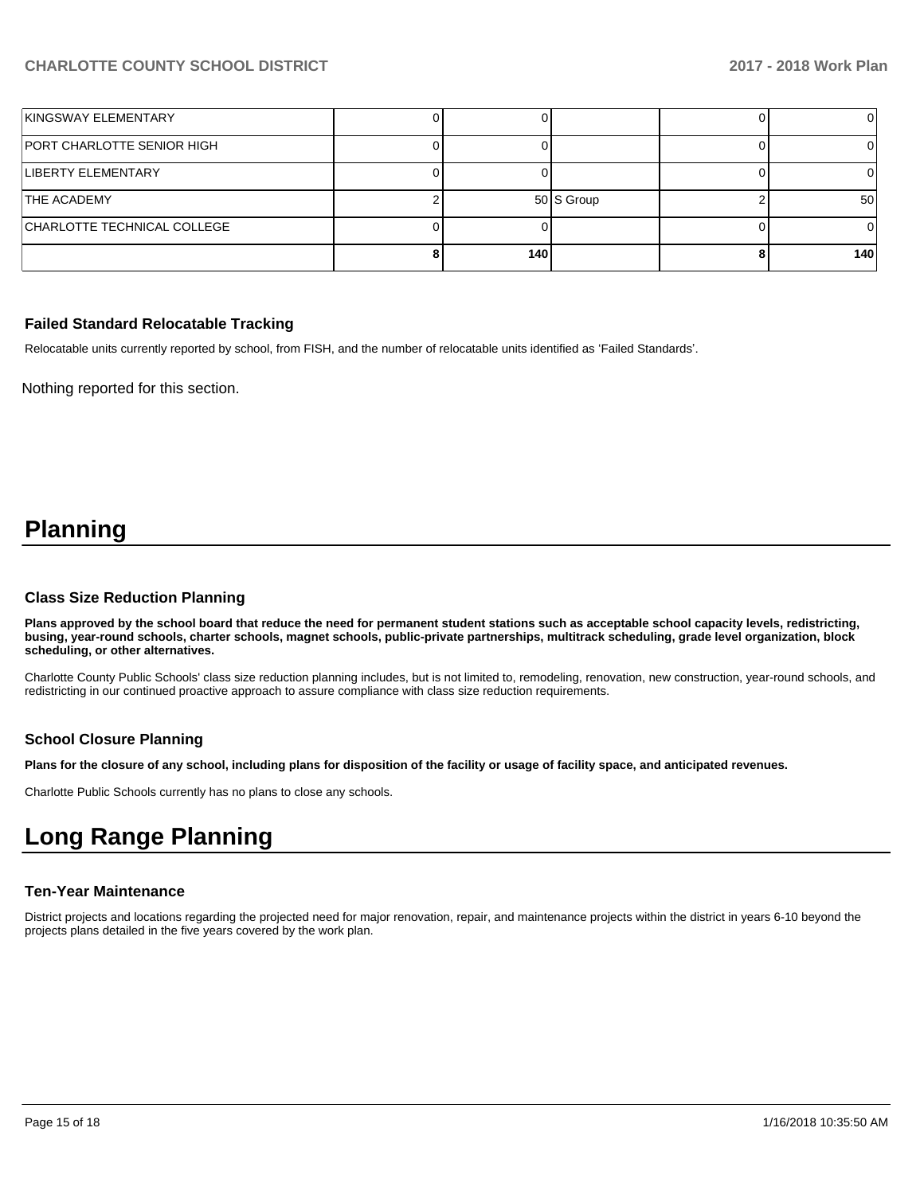| KINGSWAY ELEMENTARY         |     |            |     |
|-----------------------------|-----|------------|-----|
| PORT CHARLOTTE SENIOR HIGH  |     |            |     |
| LIBERTY ELEMENTARY          |     |            |     |
| <b>THE ACADEMY</b>          |     | 50 S Group | 50  |
| CHARLOTTE TECHNICAL COLLEGE |     |            |     |
|                             | 140 |            | 140 |

#### **Failed Standard Relocatable Tracking**

Relocatable units currently reported by school, from FISH, and the number of relocatable units identified as 'Failed Standards'.

Nothing reported for this section.

# **Planning**

#### **Class Size Reduction Planning**

**Plans approved by the school board that reduce the need for permanent student stations such as acceptable school capacity levels, redistricting, busing, year-round schools, charter schools, magnet schools, public-private partnerships, multitrack scheduling, grade level organization, block scheduling, or other alternatives.**

Charlotte County Public Schools' class size reduction planning includes, but is not limited to, remodeling, renovation, new construction, year-round schools, and redistricting in our continued proactive approach to assure compliance with class size reduction requirements.

### **School Closure Planning**

**Plans for the closure of any school, including plans for disposition of the facility or usage of facility space, and anticipated revenues.** 

Charlotte Public Schools currently has no plans to close any schools.

# **Long Range Planning**

#### **Ten-Year Maintenance**

District projects and locations regarding the projected need for major renovation, repair, and maintenance projects within the district in years 6-10 beyond the projects plans detailed in the five years covered by the work plan.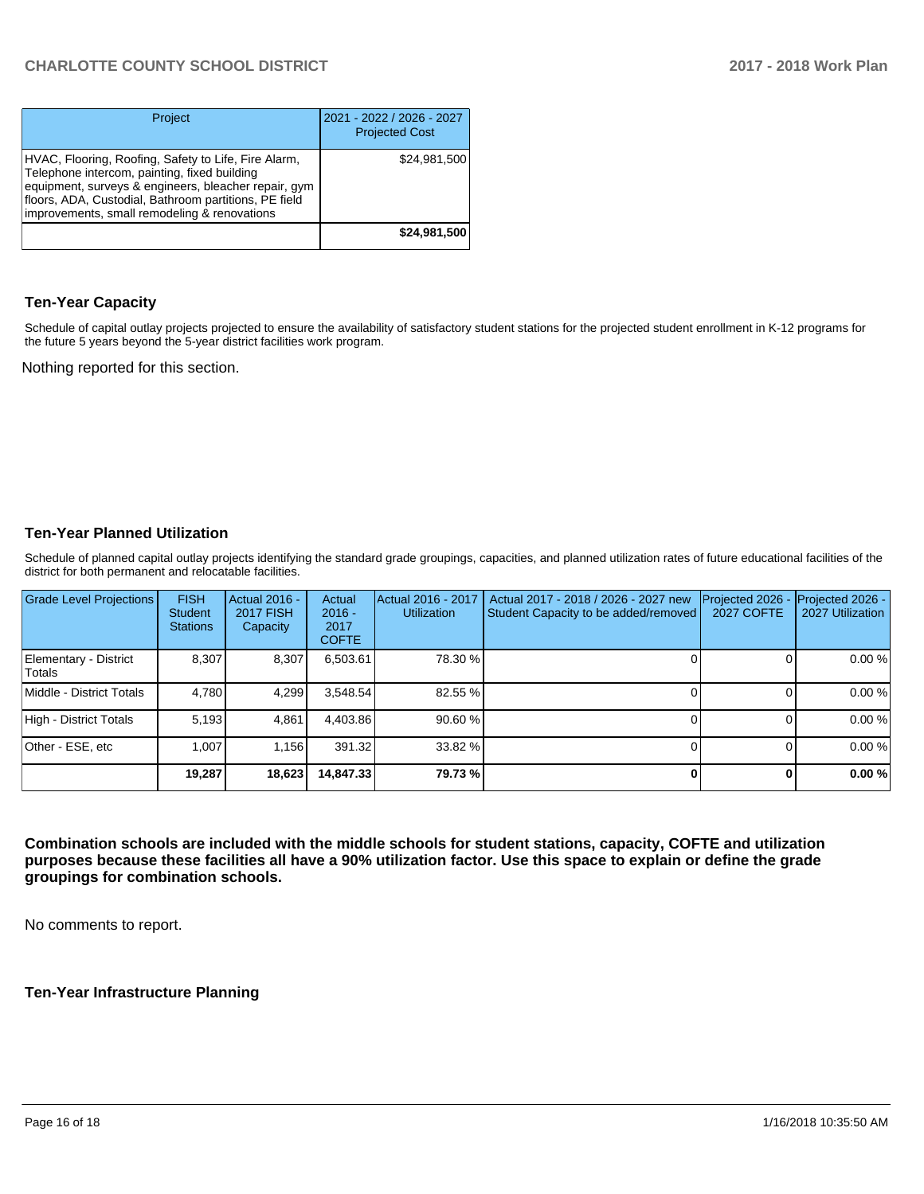| Project                                                                                                                                                                                                                                                               | 2021 - 2022 / 2026 - 2027<br><b>Projected Cost</b> |
|-----------------------------------------------------------------------------------------------------------------------------------------------------------------------------------------------------------------------------------------------------------------------|----------------------------------------------------|
| HVAC, Flooring, Roofing, Safety to Life, Fire Alarm,<br>Telephone intercom, painting, fixed building<br>equipment, surveys & engineers, bleacher repair, gym<br>floors, ADA, Custodial, Bathroom partitions, PE field<br>improvements, small remodeling & renovations | \$24,981,500                                       |
|                                                                                                                                                                                                                                                                       | \$24,981,500                                       |

## **Ten-Year Capacity**

Schedule of capital outlay projects projected to ensure the availability of satisfactory student stations for the projected student enrollment in K-12 programs for the future 5 years beyond the 5-year district facilities work program.

Nothing reported for this section.

## **Ten-Year Planned Utilization**

Schedule of planned capital outlay projects identifying the standard grade groupings, capacities, and planned utilization rates of future educational facilities of the district for both permanent and relocatable facilities.

| <b>Grade Level Projections</b>   | <b>FISH</b><br><b>Student</b><br><b>Stations</b> | <b>Actual 2016 -</b><br><b>2017 FISH</b><br>Capacity | Actual<br>$2016 -$<br>2017<br><b>COFTE</b> | Actual 2016 - 2017<br><b>Utilization</b> | Actual 2017 - 2018 / 2026 - 2027 new<br>Student Capacity to be added/removed | Projected 2026<br><b>2027 COFTE</b> | Projected 2026 -<br>2027 Utilization |
|----------------------------------|--------------------------------------------------|------------------------------------------------------|--------------------------------------------|------------------------------------------|------------------------------------------------------------------------------|-------------------------------------|--------------------------------------|
| Elementary - District<br> Totals | 8.307                                            | 8,307                                                | 6,503.61                                   | 78.30 %                                  |                                                                              |                                     | 0.00%                                |
| Middle - District Totals         | 4.780                                            | 4.299                                                | 3.548.54                                   | 82.55 %                                  |                                                                              |                                     | 0.00%                                |
| High - District Totals           | 5.193                                            | 4.861                                                | 4.403.86                                   | 90.60 %                                  |                                                                              |                                     | 0.00%                                |
| Other - ESE, etc                 | 1.007                                            | 1.156                                                | 391.32                                     | 33.82 %                                  |                                                                              |                                     | 0.00%                                |
|                                  | 19.287                                           | 18,623                                               | 14,847.33                                  | 79.73 %                                  |                                                                              |                                     | 0.00%                                |

**Combination schools are included with the middle schools for student stations, capacity, COFTE and utilization purposes because these facilities all have a 90% utilization factor. Use this space to explain or define the grade groupings for combination schools.** 

No comments to report.

### **Ten-Year Infrastructure Planning**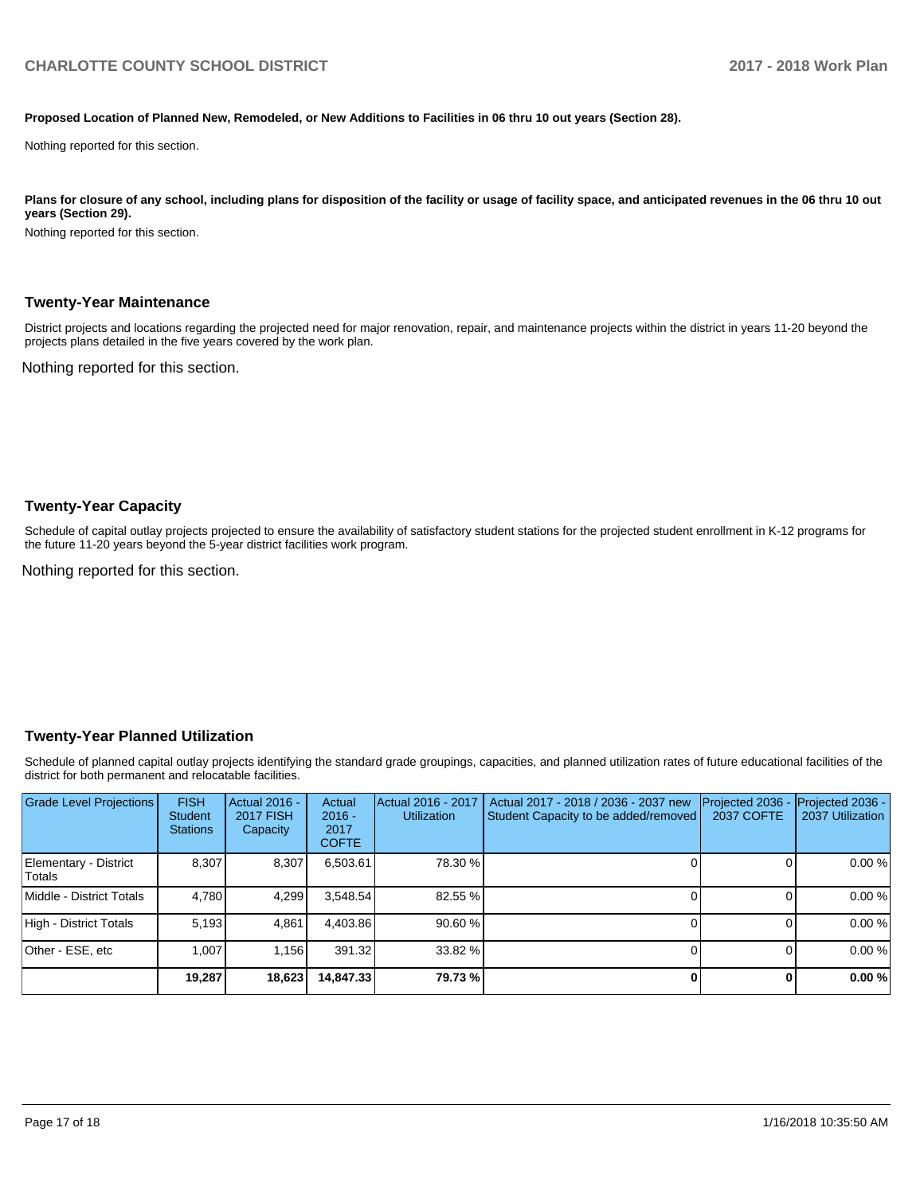#### **Proposed Location of Planned New, Remodeled, or New Additions to Facilities in 06 thru 10 out years (Section 28).**

Nothing reported for this section.

Plans for closure of any school, including plans for disposition of the facility or usage of facility space, and anticipated revenues in the 06 thru 10 out **years (Section 29).**

Nothing reported for this section.

#### **Twenty-Year Maintenance**

District projects and locations regarding the projected need for major renovation, repair, and maintenance projects within the district in years 11-20 beyond the projects plans detailed in the five years covered by the work plan.

Nothing reported for this section.

#### **Twenty-Year Capacity**

Schedule of capital outlay projects projected to ensure the availability of satisfactory student stations for the projected student enrollment in K-12 programs for the future 11-20 years beyond the 5-year district facilities work program.

Nothing reported for this section.

#### **Twenty-Year Planned Utilization**

Schedule of planned capital outlay projects identifying the standard grade groupings, capacities, and planned utilization rates of future educational facilities of the district for both permanent and relocatable facilities.

| Grade Level Projections         | <b>FISH</b><br><b>Student</b><br><b>Stations</b> | <b>Actual 2016 -</b><br><b>2017 FISH</b><br>Capacity | Actual<br>$2016 -$<br>2017<br><b>COFTE</b> | Actual 2016 - 2017<br><b>Utilization</b> | Actual 2017 - 2018 / 2036 - 2037 new<br>Student Capacity to be added/removed | Projected 2036<br><b>2037 COFTE</b> | <b>Projected 2036 -</b><br>2037 Utilization |
|---------------------------------|--------------------------------------------------|------------------------------------------------------|--------------------------------------------|------------------------------------------|------------------------------------------------------------------------------|-------------------------------------|---------------------------------------------|
| Elementary - District<br>Totals | 8.307                                            | 8,307                                                | 6,503.61                                   | 78.30 %                                  |                                                                              |                                     | 0.00%                                       |
| Middle - District Totals        | 4.780                                            | 4,299                                                | 3.548.54                                   | 82.55 %                                  |                                                                              |                                     | 0.00%                                       |
| High - District Totals          | 5.193                                            | 4.861                                                | 4.403.86                                   | 90.60 %                                  |                                                                              |                                     | 0.00%                                       |
| Other - ESE, etc                | 1.007                                            | 1.156                                                | 391.32                                     | 33.82 %                                  |                                                                              |                                     | 0.00%                                       |
|                                 | 19,287                                           | 18,623                                               | 14,847.33                                  | 79.73 %                                  |                                                                              | 0                                   | 0.00%                                       |